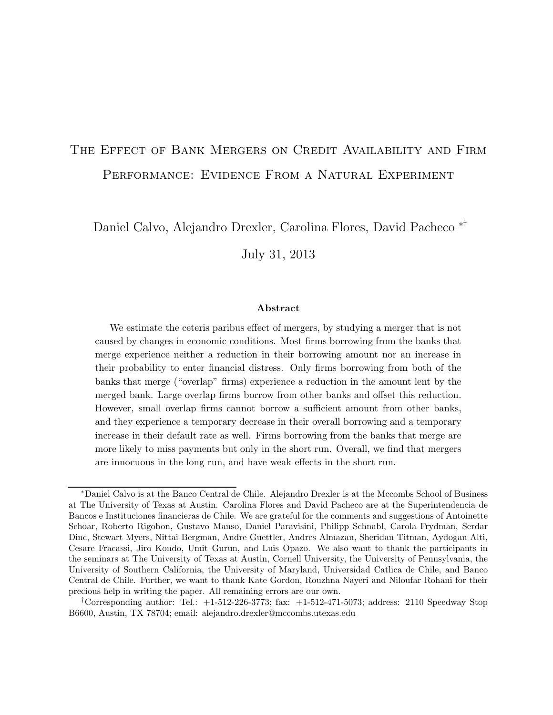### The Effect of Bank Mergers on Credit Availability and Firm Performance: Evidence From a Natural Experiment

Daniel Calvo, Alejandro Drexler, Carolina Flores, David Pacheco ∗†

July 31, 2013

#### Abstract

We estimate the ceteris paribus effect of mergers, by studying a merger that is not caused by changes in economic conditions. Most firms borrowing from the banks that merge experience neither a reduction in their borrowing amount nor an increase in their probability to enter financial distress. Only firms borrowing from both of the banks that merge ("overlap" firms) experience a reduction in the amount lent by the merged bank. Large overlap firms borrow from other banks and offset this reduction. However, small overlap firms cannot borrow a sufficient amount from other banks, and they experience a temporary decrease in their overall borrowing and a temporary increase in their default rate as well. Firms borrowing from the banks that merge are more likely to miss payments but only in the short run. Overall, we find that mergers are innocuous in the long run, and have weak effects in the short run.

<sup>∗</sup>Daniel Calvo is at the Banco Central de Chile. Alejandro Drexler is at the Mccombs School of Business at The University of Texas at Austin. Carolina Flores and David Pacheco are at the Superintendencia de Bancos e Instituciones financieras de Chile. We are grateful for the comments and suggestions of Antoinette Schoar, Roberto Rigobon, Gustavo Manso, Daniel Paravisini, Philipp Schnabl, Carola Frydman, Serdar Dinc, Stewart Myers, Nittai Bergman, Andre Guettler, Andres Almazan, Sheridan Titman, Aydogan Alti, Cesare Fracassi, Jiro Kondo, Umit Gurun, and Luis Opazo. We also want to thank the participants in the seminars at The University of Texas at Austin, Cornell University, the University of Pennsylvania, the University of Southern California, the University of Maryland, Universidad Catlica de Chile, and Banco Central de Chile. Further, we want to thank Kate Gordon, Rouzhna Nayeri and Niloufar Rohani for their precious help in writing the paper. All remaining errors are our own.

<sup>&</sup>lt;sup>†</sup>Corresponding author: Tel.:  $+1-512-226-3773$ ; fax:  $+1-512-471-5073$ ; address: 2110 Speedway Stop B6600, Austin, TX 78704; email: alejandro.drexler@mccombs.utexas.edu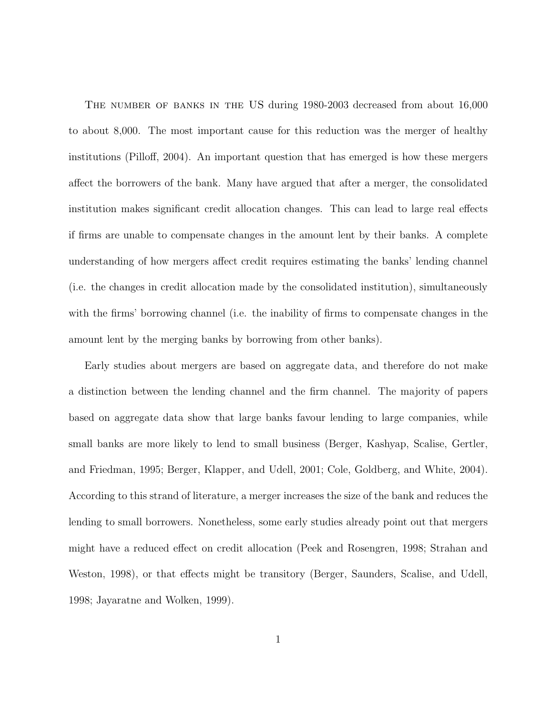The number of banks in the US during 1980-2003 decreased from about 16,000 to about 8,000. The most important cause for this reduction was the merger of healthy institutions (Pilloff, 2004). An important question that has emerged is how these mergers affect the borrowers of the bank. Many have argued that after a merger, the consolidated institution makes significant credit allocation changes. This can lead to large real effects if firms are unable to compensate changes in the amount lent by their banks. A complete understanding of how mergers affect credit requires estimating the banks' lending channel (i.e. the changes in credit allocation made by the consolidated institution), simultaneously with the firms' borrowing channel (i.e. the inability of firms to compensate changes in the amount lent by the merging banks by borrowing from other banks).

Early studies about mergers are based on aggregate data, and therefore do not make a distinction between the lending channel and the firm channel. The majority of papers based on aggregate data show that large banks favour lending to large companies, while small banks are more likely to lend to small business (Berger, Kashyap, Scalise, Gertler, and Friedman, 1995; Berger, Klapper, and Udell, 2001; Cole, Goldberg, and White, 2004). According to this strand of literature, a merger increases the size of the bank and reduces the lending to small borrowers. Nonetheless, some early studies already point out that mergers might have a reduced effect on credit allocation (Peek and Rosengren, 1998; Strahan and Weston, 1998), or that effects might be transitory (Berger, Saunders, Scalise, and Udell, 1998; Jayaratne and Wolken, 1999).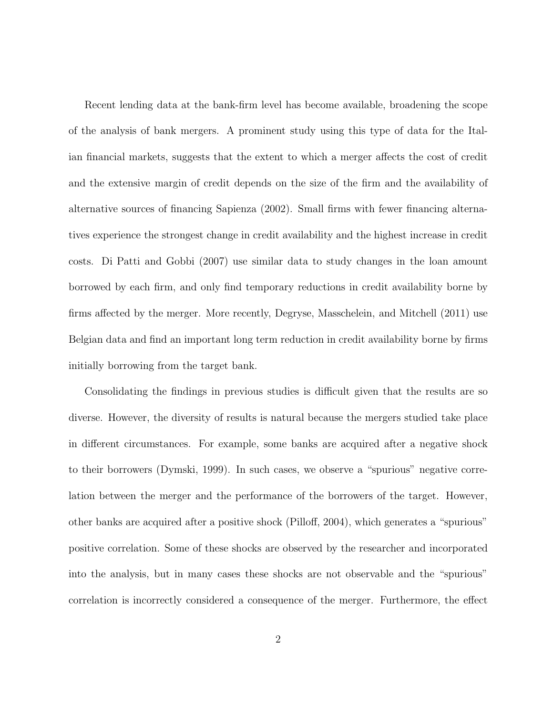Recent lending data at the bank-firm level has become available, broadening the scope of the analysis of bank mergers. A prominent study using this type of data for the Italian financial markets, suggests that the extent to which a merger affects the cost of credit and the extensive margin of credit depends on the size of the firm and the availability of alternative sources of financing Sapienza (2002). Small firms with fewer financing alternatives experience the strongest change in credit availability and the highest increase in credit costs. Di Patti and Gobbi (2007) use similar data to study changes in the loan amount borrowed by each firm, and only find temporary reductions in credit availability borne by firms affected by the merger. More recently, Degryse, Masschelein, and Mitchell (2011) use Belgian data and find an important long term reduction in credit availability borne by firms initially borrowing from the target bank.

Consolidating the findings in previous studies is difficult given that the results are so diverse. However, the diversity of results is natural because the mergers studied take place in different circumstances. For example, some banks are acquired after a negative shock to their borrowers (Dymski, 1999). In such cases, we observe a "spurious" negative correlation between the merger and the performance of the borrowers of the target. However, other banks are acquired after a positive shock (Pilloff, 2004), which generates a "spurious" positive correlation. Some of these shocks are observed by the researcher and incorporated into the analysis, but in many cases these shocks are not observable and the "spurious" correlation is incorrectly considered a consequence of the merger. Furthermore, the effect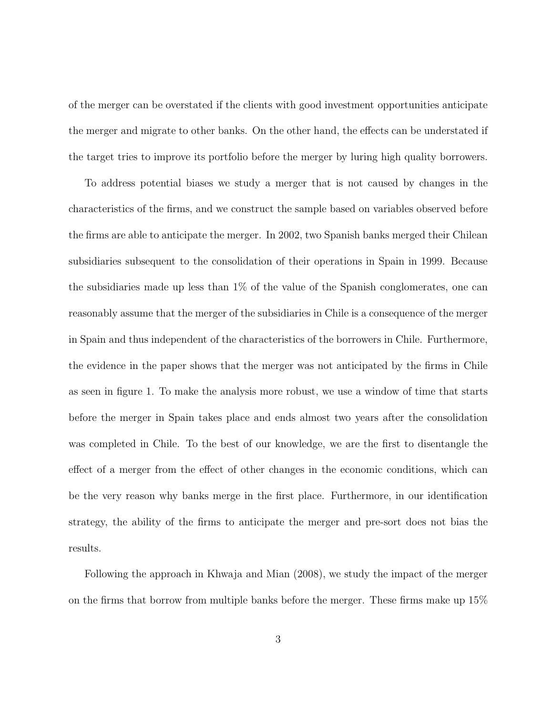of the merger can be overstated if the clients with good investment opportunities anticipate the merger and migrate to other banks. On the other hand, the effects can be understated if the target tries to improve its portfolio before the merger by luring high quality borrowers.

To address potential biases we study a merger that is not caused by changes in the characteristics of the firms, and we construct the sample based on variables observed before the firms are able to anticipate the merger. In 2002, two Spanish banks merged their Chilean subsidiaries subsequent to the consolidation of their operations in Spain in 1999. Because the subsidiaries made up less than 1% of the value of the Spanish conglomerates, one can reasonably assume that the merger of the subsidiaries in Chile is a consequence of the merger in Spain and thus independent of the characteristics of the borrowers in Chile. Furthermore, the evidence in the paper shows that the merger was not anticipated by the firms in Chile as seen in figure 1. To make the analysis more robust, we use a window of time that starts before the merger in Spain takes place and ends almost two years after the consolidation was completed in Chile. To the best of our knowledge, we are the first to disentangle the effect of a merger from the effect of other changes in the economic conditions, which can be the very reason why banks merge in the first place. Furthermore, in our identification strategy, the ability of the firms to anticipate the merger and pre-sort does not bias the results.

Following the approach in Khwaja and Mian (2008), we study the impact of the merger on the firms that borrow from multiple banks before the merger. These firms make up 15%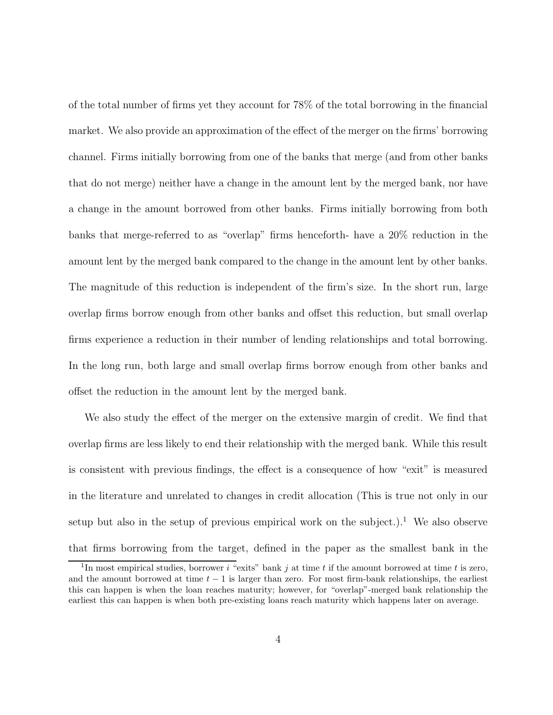of the total number of firms yet they account for 78% of the total borrowing in the financial market. We also provide an approximation of the effect of the merger on the firms' borrowing channel. Firms initially borrowing from one of the banks that merge (and from other banks that do not merge) neither have a change in the amount lent by the merged bank, nor have a change in the amount borrowed from other banks. Firms initially borrowing from both banks that merge-referred to as "overlap" firms henceforth- have a 20% reduction in the amount lent by the merged bank compared to the change in the amount lent by other banks. The magnitude of this reduction is independent of the firm's size. In the short run, large overlap firms borrow enough from other banks and offset this reduction, but small overlap firms experience a reduction in their number of lending relationships and total borrowing. In the long run, both large and small overlap firms borrow enough from other banks and offset the reduction in the amount lent by the merged bank.

We also study the effect of the merger on the extensive margin of credit. We find that overlap firms are less likely to end their relationship with the merged bank. While this result is consistent with previous findings, the effect is a consequence of how "exit" is measured in the literature and unrelated to changes in credit allocation (This is true not only in our setup but also in the setup of previous empirical work on the subject.).<sup>1</sup> We also observe that firms borrowing from the target, defined in the paper as the smallest bank in the

<sup>&</sup>lt;sup>1</sup>In most empirical studies, borrower i "exits" bank j at time t if the amount borrowed at time t is zero, and the amount borrowed at time  $t - 1$  is larger than zero. For most firm-bank relationships, the earliest this can happen is when the loan reaches maturity; however, for "overlap"-merged bank relationship the earliest this can happen is when both pre-existing loans reach maturity which happens later on average.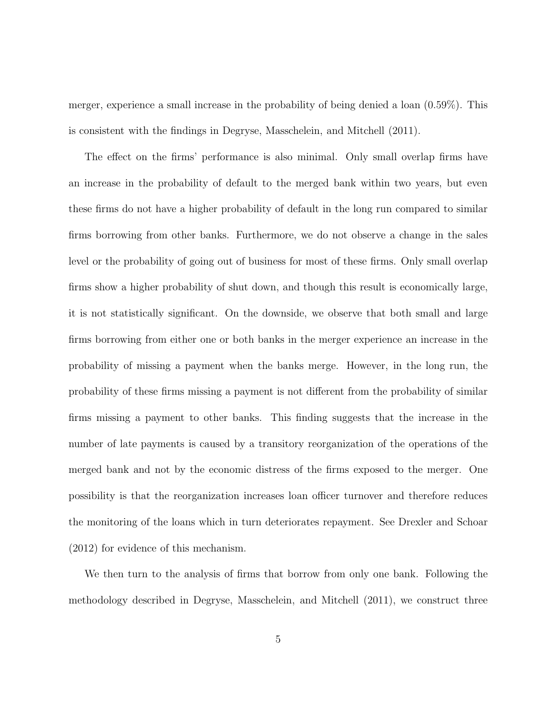merger, experience a small increase in the probability of being denied a loan (0.59%). This is consistent with the findings in Degryse, Masschelein, and Mitchell (2011).

The effect on the firms' performance is also minimal. Only small overlap firms have an increase in the probability of default to the merged bank within two years, but even these firms do not have a higher probability of default in the long run compared to similar firms borrowing from other banks. Furthermore, we do not observe a change in the sales level or the probability of going out of business for most of these firms. Only small overlap firms show a higher probability of shut down, and though this result is economically large, it is not statistically significant. On the downside, we observe that both small and large firms borrowing from either one or both banks in the merger experience an increase in the probability of missing a payment when the banks merge. However, in the long run, the probability of these firms missing a payment is not different from the probability of similar firms missing a payment to other banks. This finding suggests that the increase in the number of late payments is caused by a transitory reorganization of the operations of the merged bank and not by the economic distress of the firms exposed to the merger. One possibility is that the reorganization increases loan officer turnover and therefore reduces the monitoring of the loans which in turn deteriorates repayment. See Drexler and Schoar (2012) for evidence of this mechanism.

We then turn to the analysis of firms that borrow from only one bank. Following the methodology described in Degryse, Masschelein, and Mitchell (2011), we construct three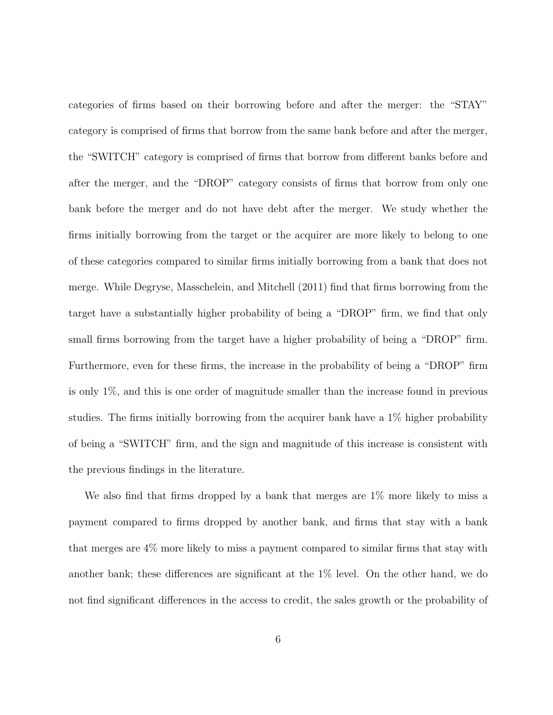categories of firms based on their borrowing before and after the merger: the "STAY" category is comprised of firms that borrow from the same bank before and after the merger, the "SWITCH" category is comprised of firms that borrow from different banks before and after the merger, and the "DROP" category consists of firms that borrow from only one bank before the merger and do not have debt after the merger. We study whether the firms initially borrowing from the target or the acquirer are more likely to belong to one of these categories compared to similar firms initially borrowing from a bank that does not merge. While Degryse, Masschelein, and Mitchell (2011) find that firms borrowing from the target have a substantially higher probability of being a "DROP" firm, we find that only small firms borrowing from the target have a higher probability of being a "DROP" firm. Furthermore, even for these firms, the increase in the probability of being a "DROP" firm is only 1%, and this is one order of magnitude smaller than the increase found in previous studies. The firms initially borrowing from the acquirer bank have a 1% higher probability of being a "SWITCH" firm, and the sign and magnitude of this increase is consistent with the previous findings in the literature.

We also find that firms dropped by a bank that merges are 1% more likely to miss a payment compared to firms dropped by another bank, and firms that stay with a bank that merges are 4% more likely to miss a payment compared to similar firms that stay with another bank; these differences are significant at the 1% level. On the other hand, we do not find significant differences in the access to credit, the sales growth or the probability of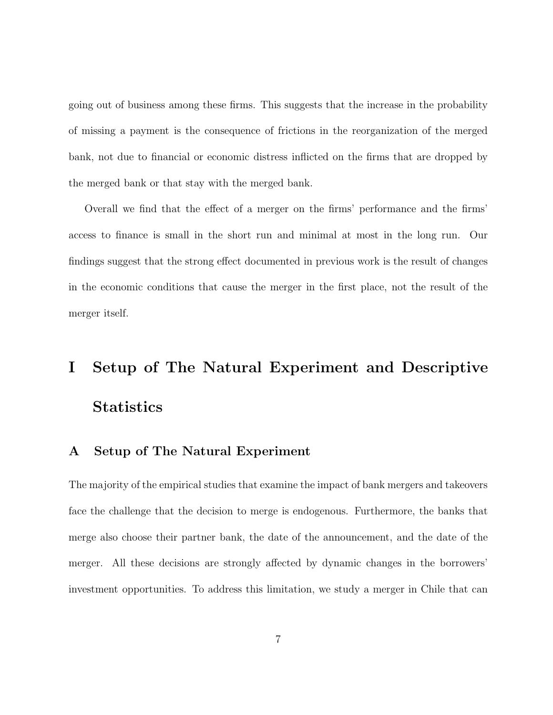going out of business among these firms. This suggests that the increase in the probability of missing a payment is the consequence of frictions in the reorganization of the merged bank, not due to financial or economic distress inflicted on the firms that are dropped by the merged bank or that stay with the merged bank.

Overall we find that the effect of a merger on the firms' performance and the firms' access to finance is small in the short run and minimal at most in the long run. Our findings suggest that the strong effect documented in previous work is the result of changes in the economic conditions that cause the merger in the first place, not the result of the merger itself.

# I Setup of The Natural Experiment and Descriptive **Statistics**

### A Setup of The Natural Experiment

The majority of the empirical studies that examine the impact of bank mergers and takeovers face the challenge that the decision to merge is endogenous. Furthermore, the banks that merge also choose their partner bank, the date of the announcement, and the date of the merger. All these decisions are strongly affected by dynamic changes in the borrowers' investment opportunities. To address this limitation, we study a merger in Chile that can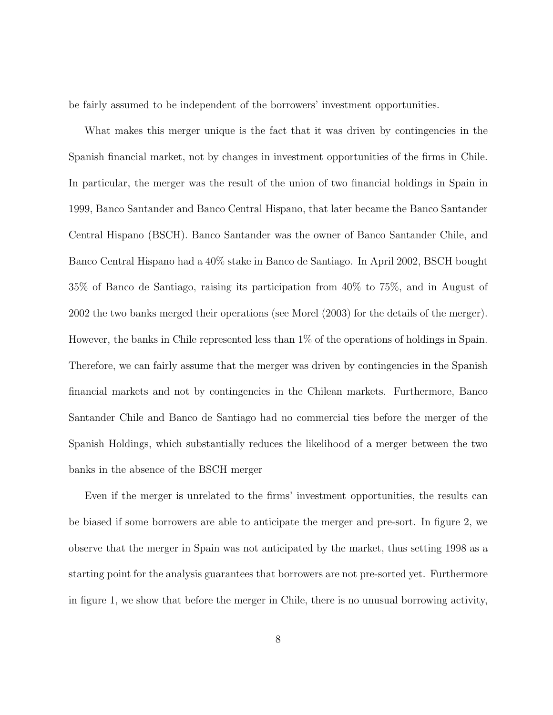be fairly assumed to be independent of the borrowers' investment opportunities.

What makes this merger unique is the fact that it was driven by contingencies in the Spanish financial market, not by changes in investment opportunities of the firms in Chile. In particular, the merger was the result of the union of two financial holdings in Spain in 1999, Banco Santander and Banco Central Hispano, that later became the Banco Santander Central Hispano (BSCH). Banco Santander was the owner of Banco Santander Chile, and Banco Central Hispano had a 40% stake in Banco de Santiago. In April 2002, BSCH bought 35% of Banco de Santiago, raising its participation from 40% to 75%, and in August of 2002 the two banks merged their operations (see Morel (2003) for the details of the merger). However, the banks in Chile represented less than 1% of the operations of holdings in Spain. Therefore, we can fairly assume that the merger was driven by contingencies in the Spanish financial markets and not by contingencies in the Chilean markets. Furthermore, Banco Santander Chile and Banco de Santiago had no commercial ties before the merger of the Spanish Holdings, which substantially reduces the likelihood of a merger between the two banks in the absence of the BSCH merger

Even if the merger is unrelated to the firms' investment opportunities, the results can be biased if some borrowers are able to anticipate the merger and pre-sort. In figure 2, we observe that the merger in Spain was not anticipated by the market, thus setting 1998 as a starting point for the analysis guarantees that borrowers are not pre-sorted yet. Furthermore in figure 1, we show that before the merger in Chile, there is no unusual borrowing activity,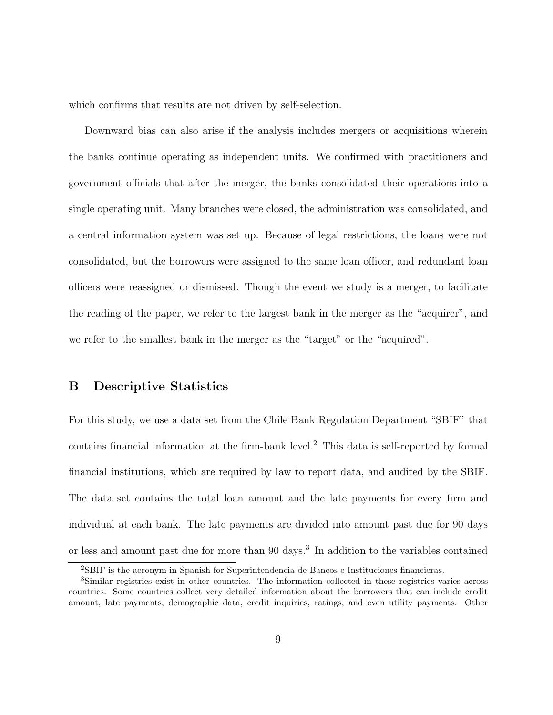which confirms that results are not driven by self-selection.

Downward bias can also arise if the analysis includes mergers or acquisitions wherein the banks continue operating as independent units. We confirmed with practitioners and government officials that after the merger, the banks consolidated their operations into a single operating unit. Many branches were closed, the administration was consolidated, and a central information system was set up. Because of legal restrictions, the loans were not consolidated, but the borrowers were assigned to the same loan officer, and redundant loan officers were reassigned or dismissed. Though the event we study is a merger, to facilitate the reading of the paper, we refer to the largest bank in the merger as the "acquirer", and we refer to the smallest bank in the merger as the "target" or the "acquired".

### B Descriptive Statistics

For this study, we use a data set from the Chile Bank Regulation Department "SBIF" that contains financial information at the firm-bank level.<sup>2</sup> This data is self-reported by formal financial institutions, which are required by law to report data, and audited by the SBIF. The data set contains the total loan amount and the late payments for every firm and individual at each bank. The late payments are divided into amount past due for 90 days or less and amount past due for more than 90 days.<sup>3</sup> In addition to the variables contained

<sup>2</sup>SBIF is the acronym in Spanish for Superintendencia de Bancos e Instituciones financieras.

<sup>3</sup>Similar registries exist in other countries. The information collected in these registries varies across countries. Some countries collect very detailed information about the borrowers that can include credit amount, late payments, demographic data, credit inquiries, ratings, and even utility payments. Other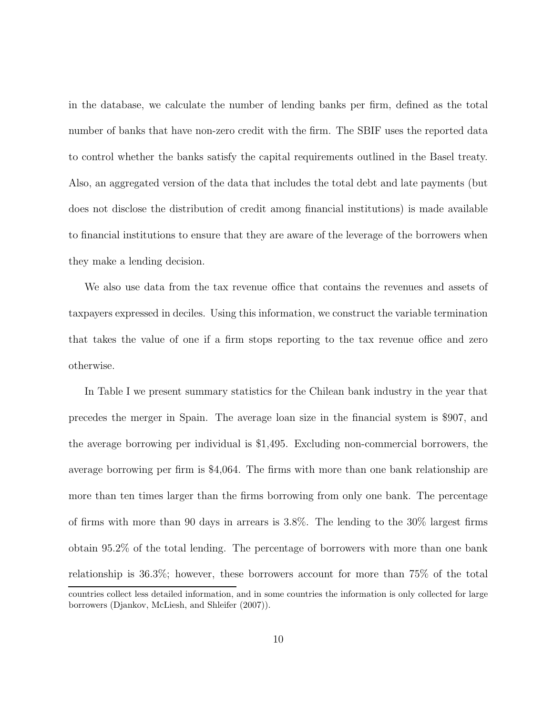in the database, we calculate the number of lending banks per firm, defined as the total number of banks that have non-zero credit with the firm. The SBIF uses the reported data to control whether the banks satisfy the capital requirements outlined in the Basel treaty. Also, an aggregated version of the data that includes the total debt and late payments (but does not disclose the distribution of credit among financial institutions) is made available to financial institutions to ensure that they are aware of the leverage of the borrowers when they make a lending decision.

We also use data from the tax revenue office that contains the revenues and assets of taxpayers expressed in deciles. Using this information, we construct the variable termination that takes the value of one if a firm stops reporting to the tax revenue office and zero otherwise.

In Table I we present summary statistics for the Chilean bank industry in the year that precedes the merger in Spain. The average loan size in the financial system is \$907, and the average borrowing per individual is \$1,495. Excluding non-commercial borrowers, the average borrowing per firm is \$4,064. The firms with more than one bank relationship are more than ten times larger than the firms borrowing from only one bank. The percentage of firms with more than 90 days in arrears is 3.8%. The lending to the 30% largest firms obtain 95.2% of the total lending. The percentage of borrowers with more than one bank relationship is 36.3%; however, these borrowers account for more than 75% of the total countries collect less detailed information, and in some countries the information is only collected for large

borrowers (Djankov, McLiesh, and Shleifer (2007)).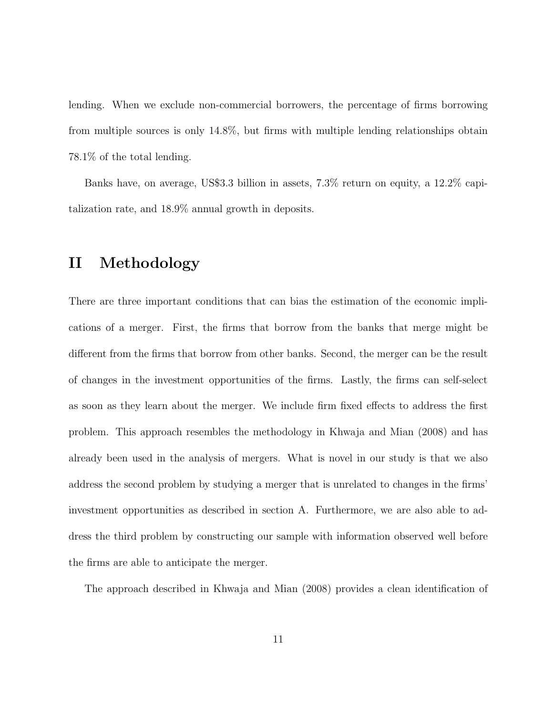lending. When we exclude non-commercial borrowers, the percentage of firms borrowing from multiple sources is only 14.8%, but firms with multiple lending relationships obtain 78.1% of the total lending.

Banks have, on average, US\$3.3 billion in assets, 7.3% return on equity, a 12.2% capitalization rate, and 18.9% annual growth in deposits.

### II Methodology

There are three important conditions that can bias the estimation of the economic implications of a merger. First, the firms that borrow from the banks that merge might be different from the firms that borrow from other banks. Second, the merger can be the result of changes in the investment opportunities of the firms. Lastly, the firms can self-select as soon as they learn about the merger. We include firm fixed effects to address the first problem. This approach resembles the methodology in Khwaja and Mian (2008) and has already been used in the analysis of mergers. What is novel in our study is that we also address the second problem by studying a merger that is unrelated to changes in the firms' investment opportunities as described in section A. Furthermore, we are also able to address the third problem by constructing our sample with information observed well before the firms are able to anticipate the merger.

The approach described in Khwaja and Mian (2008) provides a clean identification of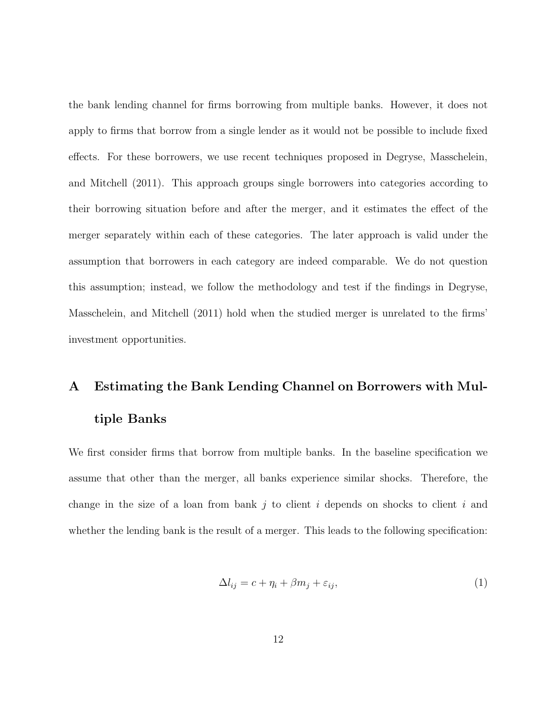the bank lending channel for firms borrowing from multiple banks. However, it does not apply to firms that borrow from a single lender as it would not be possible to include fixed effects. For these borrowers, we use recent techniques proposed in Degryse, Masschelein, and Mitchell (2011). This approach groups single borrowers into categories according to their borrowing situation before and after the merger, and it estimates the effect of the merger separately within each of these categories. The later approach is valid under the assumption that borrowers in each category are indeed comparable. We do not question this assumption; instead, we follow the methodology and test if the findings in Degryse, Masschelein, and Mitchell (2011) hold when the studied merger is unrelated to the firms' investment opportunities.

### A Estimating the Bank Lending Channel on Borrowers with Multiple Banks

We first consider firms that borrow from multiple banks. In the baseline specification we assume that other than the merger, all banks experience similar shocks. Therefore, the change in the size of a loan from bank j to client i depends on shocks to client i and whether the lending bank is the result of a merger. This leads to the following specification:

$$
\Delta l_{ij} = c + \eta_i + \beta m_j + \varepsilon_{ij},\tag{1}
$$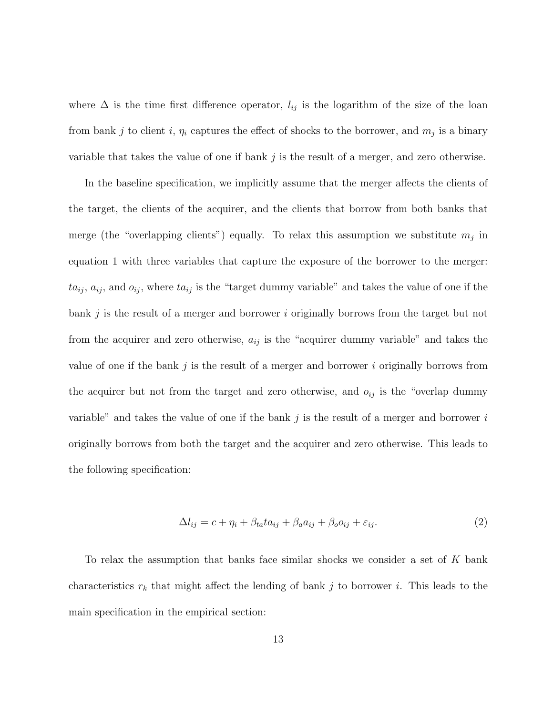where  $\Delta$  is the time first difference operator,  $l_{ij}$  is the logarithm of the size of the loan from bank j to client i,  $\eta_i$  captures the effect of shocks to the borrower, and  $m_j$  is a binary variable that takes the value of one if bank  $j$  is the result of a merger, and zero otherwise.

In the baseline specification, we implicitly assume that the merger affects the clients of the target, the clients of the acquirer, and the clients that borrow from both banks that merge (the "overlapping clients") equally. To relax this assumption we substitute  $m_j$  in equation 1 with three variables that capture the exposure of the borrower to the merger:  $ta_{ij}$ ,  $a_{ij}$ , and  $o_{ij}$ , where  $ta_{ij}$  is the "target dummy variable" and takes the value of one if the bank  $j$  is the result of a merger and borrower i originally borrows from the target but not from the acquirer and zero otherwise,  $a_{ij}$  is the "acquirer dummy variable" and takes the value of one if the bank  $j$  is the result of a merger and borrower  $i$  originally borrows from the acquirer but not from the target and zero otherwise, and  $o_{ij}$  is the "overlap dummy variable" and takes the value of one if the bank  $j$  is the result of a merger and borrower  $i$ originally borrows from both the target and the acquirer and zero otherwise. This leads to the following specification:

$$
\Delta l_{ij} = c + \eta_i + \beta_{ta} t a_{ij} + \beta_a a_{ij} + \beta_o o_{ij} + \varepsilon_{ij}.
$$
\n<sup>(2)</sup>

To relax the assumption that banks face similar shocks we consider a set of  $K$  bank characteristics  $r_k$  that might affect the lending of bank j to borrower i. This leads to the main specification in the empirical section: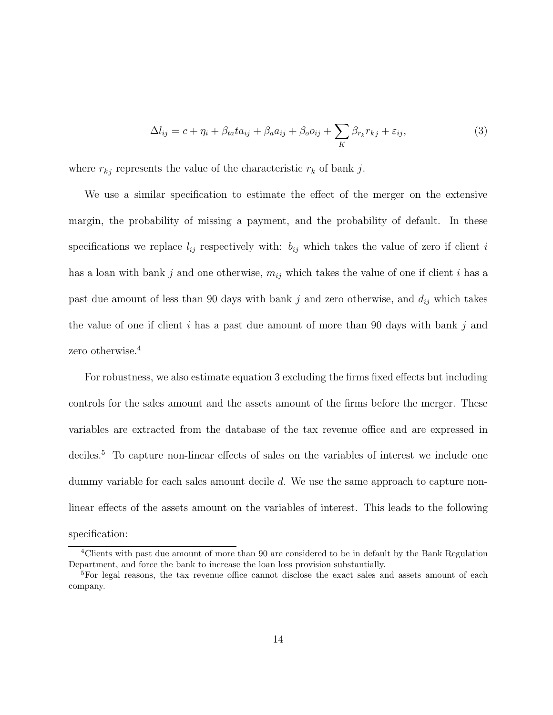$$
\Delta l_{ij} = c + \eta_i + \beta_{ta} t a_{ij} + \beta_a a_{ij} + \beta_o o_{ij} + \sum_K \beta_{r_k} r_{kj} + \varepsilon_{ij},\tag{3}
$$

where  $r_{kj}$  represents the value of the characteristic  $r_k$  of bank j.

We use a similar specification to estimate the effect of the merger on the extensive margin, the probability of missing a payment, and the probability of default. In these specifications we replace  $l_{ij}$  respectively with:  $b_{ij}$  which takes the value of zero if client i has a loan with bank j and one otherwise,  $m_{ij}$  which takes the value of one if client i has a past due amount of less than 90 days with bank j and zero otherwise, and  $d_{ij}$  which takes the value of one if client i has a past due amount of more than 90 days with bank  $j$  and zero otherwise.<sup>4</sup>

For robustness, we also estimate equation 3 excluding the firms fixed effects but including controls for the sales amount and the assets amount of the firms before the merger. These variables are extracted from the database of the tax revenue office and are expressed in deciles.<sup>5</sup> To capture non-linear effects of sales on the variables of interest we include one dummy variable for each sales amount decile d. We use the same approach to capture nonlinear effects of the assets amount on the variables of interest. This leads to the following specification:

<sup>&</sup>lt;sup>4</sup>Clients with past due amount of more than 90 are considered to be in default by the Bank Regulation Department, and force the bank to increase the loan loss provision substantially.

<sup>&</sup>lt;sup>5</sup>For legal reasons, the tax revenue office cannot disclose the exact sales and assets amount of each company.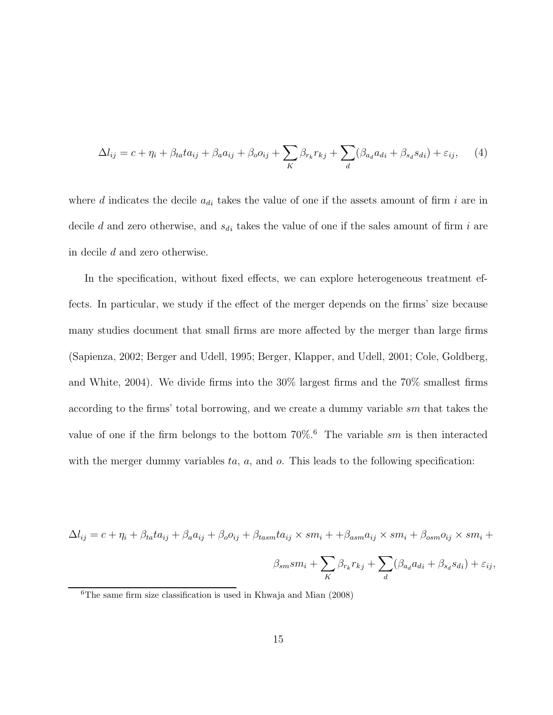$$
\Delta l_{ij} = c + \eta_i + \beta_{ta} t a_{ij} + \beta_a a_{ij} + \beta_o o_{ij} + \sum_K \beta_{r_k} r_{kj} + \sum_d (\beta_{a_d} a_{di} + \beta_{s_d} s_{di}) + \varepsilon_{ij}, \tag{4}
$$

where d indicates the decile  $a_{di}$  takes the value of one if the assets amount of firm i are in decile d and zero otherwise, and  $s_{di}$  takes the value of one if the sales amount of firm i are in decile d and zero otherwise.

In the specification, without fixed effects, we can explore heterogeneous treatment effects. In particular, we study if the effect of the merger depends on the firms' size because many studies document that small firms are more affected by the merger than large firms (Sapienza, 2002; Berger and Udell, 1995; Berger, Klapper, and Udell, 2001; Cole, Goldberg, and White, 2004). We divide firms into the 30% largest firms and the 70% smallest firms according to the firms' total borrowing, and we create a dummy variable sm that takes the value of one if the firm belongs to the bottom  $70\%$ .<sup>6</sup> The variable sm is then interacted with the merger dummy variables  $ta$ ,  $a$ , and  $o$ . This leads to the following specification:

 $\Delta l_{ij} = c + \eta_i + \beta_{ta} t a_{ij} + \beta_a a_{ij} + \beta_o o_{ij} + \beta_{tasm} t a_{ij} \times s m_i + + \beta_{asm} a_{ij} \times s m_i + \beta_{osm} o_{ij} \times s m_i +$ 

$$
\beta_{sm} s m_i + \sum_K \beta_{r_k} r_{kj} + \sum_d (\beta_{a_d} a_{di} + \beta_{s_d} s_{di}) + \varepsilon_{ij},
$$

 ${}^{6}$ The same firm size classification is used in Khwaja and Mian (2008)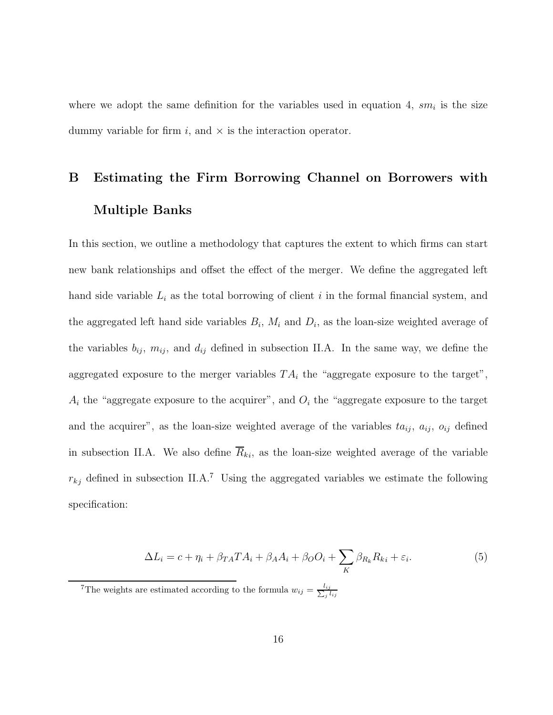where we adopt the same definition for the variables used in equation 4,  $sm_i$  is the size dummy variable for firm  $i$ , and  $\times$  is the interaction operator.

## B Estimating the Firm Borrowing Channel on Borrowers with Multiple Banks

In this section, we outline a methodology that captures the extent to which firms can start new bank relationships and offset the effect of the merger. We define the aggregated left hand side variable  $L_i$  as the total borrowing of client i in the formal financial system, and the aggregated left hand side variables  $B_i$ ,  $M_i$  and  $D_i$ , as the loan-size weighted average of the variables  $b_{ij}$ ,  $m_{ij}$ , and  $d_{ij}$  defined in subsection II.A. In the same way, we define the aggregated exposure to the merger variables  $TA_i$  the "aggregate exposure to the target",  $A_i$  the "aggregate exposure to the acquirer", and  $O_i$  the "aggregate exposure to the target and the acquirer", as the loan-size weighted average of the variables  $t a_{ij}$ ,  $a_{ij}$ ,  $o_{ij}$  defined in subsection II.A. We also define  $R_{ki}$ , as the loan-size weighted average of the variable  $r_{kj}$  defined in subsection II.A.<sup>7</sup> Using the aggregated variables we estimate the following specification:

$$
\Delta L_i = c + \eta_i + \beta_{TA} T A_i + \beta_A A_i + \beta_O O_i + \sum_K \beta_{R_k} R_{ki} + \varepsilon_i.
$$
\n(5)

<sup>&</sup>lt;sup>7</sup>The weights are estimated according to the formula  $w_{ij} = \frac{l_{ij}}{\sum_i l_i}$  $\overline{\jmath}\,l_{ij}$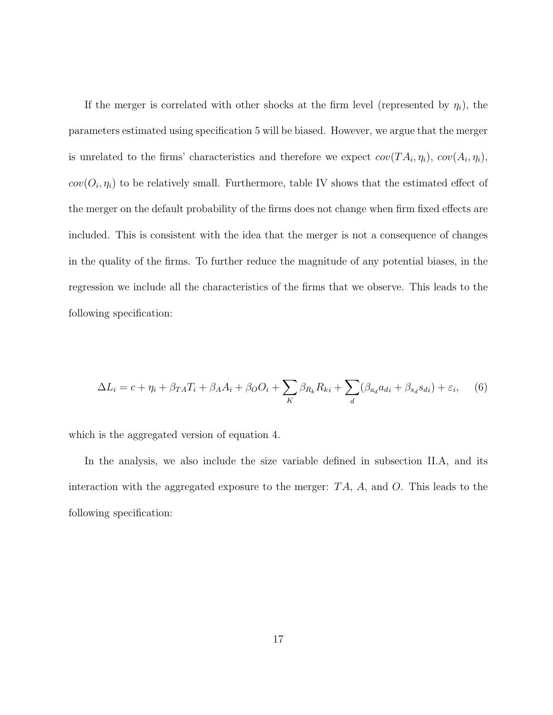If the merger is correlated with other shocks at the firm level (represented by  $\eta_i$ ), the parameters estimated using specification 5 will be biased. However, we argue that the merger is unrelated to the firms' characteristics and therefore we expect  $cov(T A_i, \eta_i)$ ,  $cov(A_i, \eta_i)$ ,  $cov(O_i, \eta_i)$  to be relatively small. Furthermore, table IV shows that the estimated effect of the merger on the default probability of the firms does not change when firm fixed effects are included. This is consistent with the idea that the merger is not a consequence of changes in the quality of the firms. To further reduce the magnitude of any potential biases, in the regression we include all the characteristics of the firms that we observe. This leads to the following specification:

$$
\Delta L_i = c + \eta_i + \beta_{TA} T_i + \beta_A A_i + \beta_O O_i + \sum_K \beta_{R_k} R_{ki} + \sum_d (\beta_{a_d} a_{di} + \beta_{s_d} s_{di}) + \varepsilon_i, \tag{6}
$$

which is the aggregated version of equation 4.

In the analysis, we also include the size variable defined in subsection II.A, and its interaction with the aggregated exposure to the merger:  $TA$ ,  $A$ , and  $O$ . This leads to the following specification: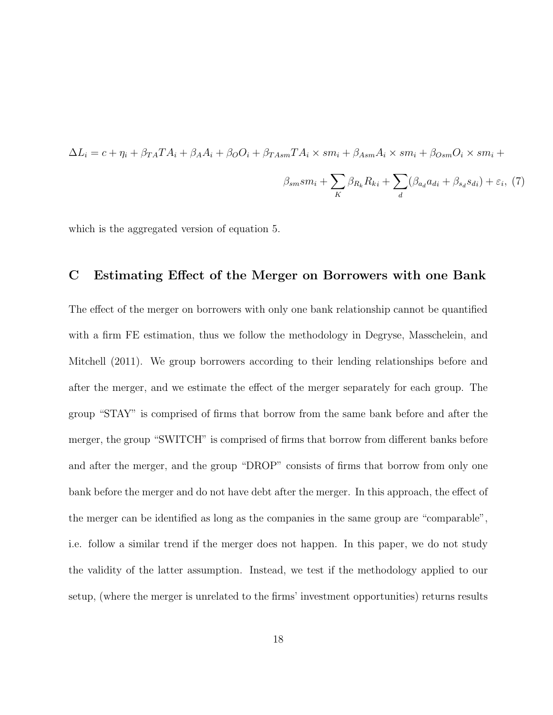$$
\Delta L_i = c + \eta_i + \beta_{TA} T A_i + \beta_A A_i + \beta_O O_i + \beta_{TAsm} T A_i \times sm_i + \beta_{Asm} A_i \times sm_i + \beta_{Osm} O_i \times sm_i +
$$
  

$$
\beta_{sm} sm_i + \sum_K \beta_{R_k} R_{ki} + \sum_d (\beta_{a_d} a_{di} + \beta_{sa} s_{di}) + \varepsilon_i, (7)
$$

which is the aggregated version of equation 5.

### C Estimating Effect of the Merger on Borrowers with one Bank

The effect of the merger on borrowers with only one bank relationship cannot be quantified with a firm FE estimation, thus we follow the methodology in Degryse, Masschelein, and Mitchell (2011). We group borrowers according to their lending relationships before and after the merger, and we estimate the effect of the merger separately for each group. The group "STAY" is comprised of firms that borrow from the same bank before and after the merger, the group "SWITCH" is comprised of firms that borrow from different banks before and after the merger, and the group "DROP" consists of firms that borrow from only one bank before the merger and do not have debt after the merger. In this approach, the effect of the merger can be identified as long as the companies in the same group are "comparable", i.e. follow a similar trend if the merger does not happen. In this paper, we do not study the validity of the latter assumption. Instead, we test if the methodology applied to our setup, (where the merger is unrelated to the firms' investment opportunities) returns results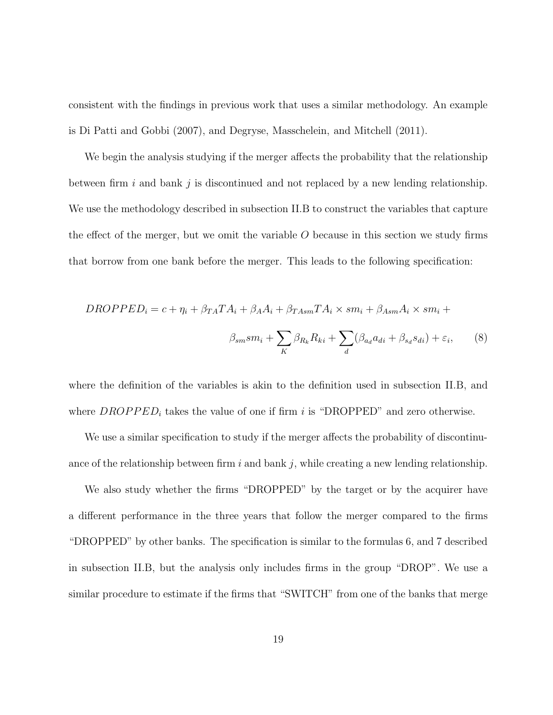consistent with the findings in previous work that uses a similar methodology. An example is Di Patti and Gobbi (2007), and Degryse, Masschelein, and Mitchell (2011).

We begin the analysis studying if the merger affects the probability that the relationship between firm i and bank j is discontinued and not replaced by a new lending relationship. We use the methodology described in subsection II.B to construct the variables that capture the effect of the merger, but we omit the variable  $O$  because in this section we study firms that borrow from one bank before the merger. This leads to the following specification:

$$
DROPPED_i = c + \eta_i + \beta_{TA} T A_i + \beta_A A_i + \beta_{TAsm} T A_i \times sm_i + \beta_{Asm} A_i \times sm_i +
$$

$$
\beta_{sm} sm_i + \sum_{K} \beta_{R_k} R_{ki} + \sum_{d} (\beta_{a_d} a_{di} + \beta_{sa} s_{di}) + \varepsilon_i, \tag{8}
$$

where the definition of the variables is akin to the definition used in subsection II.B, and where  $DROPPED_i$  takes the value of one if firm i is "DROPPED" and zero otherwise.

We use a similar specification to study if the merger affects the probability of discontinuance of the relationship between firm i and bank j, while creating a new lending relationship.

We also study whether the firms "DROPPED" by the target or by the acquirer have a different performance in the three years that follow the merger compared to the firms "DROPPED" by other banks. The specification is similar to the formulas 6, and 7 described in subsection II.B, but the analysis only includes firms in the group "DROP". We use a similar procedure to estimate if the firms that "SWITCH" from one of the banks that merge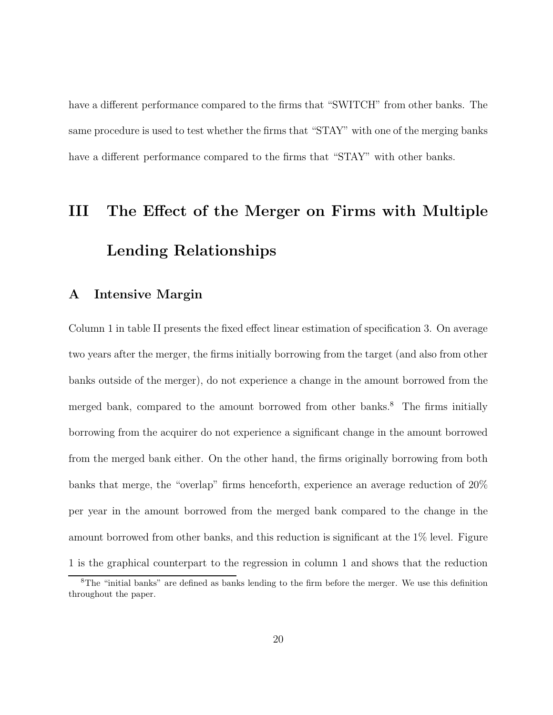have a different performance compared to the firms that "SWITCH" from other banks. The same procedure is used to test whether the firms that "STAY" with one of the merging banks have a different performance compared to the firms that "STAY" with other banks.

# III The Effect of the Merger on Firms with Multiple Lending Relationships

### A Intensive Margin

Column 1 in table II presents the fixed effect linear estimation of specification 3. On average two years after the merger, the firms initially borrowing from the target (and also from other banks outside of the merger), do not experience a change in the amount borrowed from the merged bank, compared to the amount borrowed from other banks.<sup>8</sup> The firms initially borrowing from the acquirer do not experience a significant change in the amount borrowed from the merged bank either. On the other hand, the firms originally borrowing from both banks that merge, the "overlap" firms henceforth, experience an average reduction of 20% per year in the amount borrowed from the merged bank compared to the change in the amount borrowed from other banks, and this reduction is significant at the 1% level. Figure 1 is the graphical counterpart to the regression in column 1 and shows that the reduction

<sup>8</sup>The "initial banks" are defined as banks lending to the firm before the merger. We use this definition throughout the paper.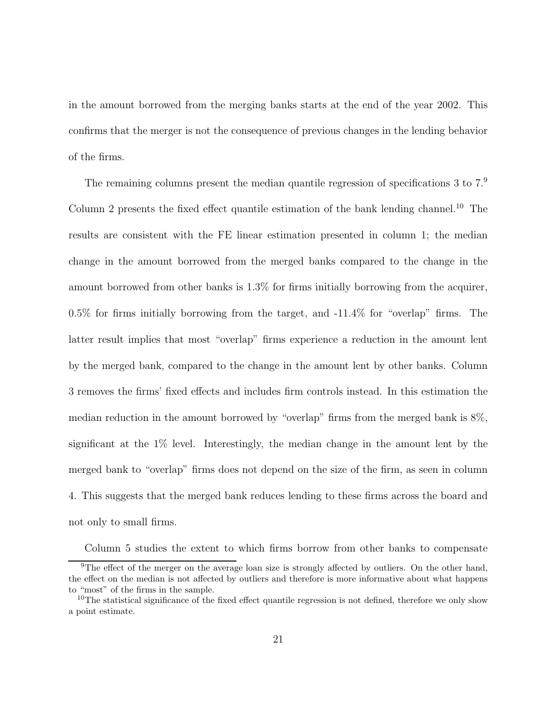in the amount borrowed from the merging banks starts at the end of the year 2002. This confirms that the merger is not the consequence of previous changes in the lending behavior of the firms.

The remaining columns present the median quantile regression of specifications 3 to  $7<sup>9</sup>$ Column 2 presents the fixed effect quantile estimation of the bank lending channel.<sup>10</sup> The results are consistent with the FE linear estimation presented in column 1; the median change in the amount borrowed from the merged banks compared to the change in the amount borrowed from other banks is 1.3% for firms initially borrowing from the acquirer, 0.5% for firms initially borrowing from the target, and -11.4% for "overlap" firms. The latter result implies that most "overlap" firms experience a reduction in the amount lent by the merged bank, compared to the change in the amount lent by other banks. Column 3 removes the firms' fixed effects and includes firm controls instead. In this estimation the median reduction in the amount borrowed by "overlap" firms from the merged bank is 8%, significant at the 1% level. Interestingly, the median change in the amount lent by the merged bank to "overlap" firms does not depend on the size of the firm, as seen in column 4. This suggests that the merged bank reduces lending to these firms across the board and not only to small firms.

Column 5 studies the extent to which firms borrow from other banks to compensate

<sup>&</sup>lt;sup>9</sup>The effect of the merger on the average loan size is strongly affected by outliers. On the other hand, the effect on the median is not affected by outliers and therefore is more informative about what happens to "most" of the firms in the sample.

<sup>&</sup>lt;sup>10</sup>The statistical significance of the fixed effect quantile regression is not defined, therefore we only show a point estimate.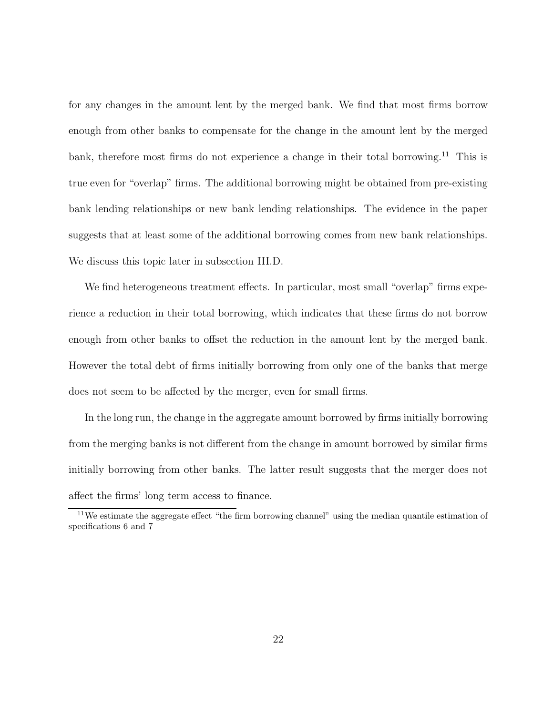for any changes in the amount lent by the merged bank. We find that most firms borrow enough from other banks to compensate for the change in the amount lent by the merged bank, therefore most firms do not experience a change in their total borrowing.<sup>11</sup> This is true even for "overlap" firms. The additional borrowing might be obtained from pre-existing bank lending relationships or new bank lending relationships. The evidence in the paper suggests that at least some of the additional borrowing comes from new bank relationships. We discuss this topic later in subsection III.D.

We find heterogeneous treatment effects. In particular, most small "overlap" firms experience a reduction in their total borrowing, which indicates that these firms do not borrow enough from other banks to offset the reduction in the amount lent by the merged bank. However the total debt of firms initially borrowing from only one of the banks that merge does not seem to be affected by the merger, even for small firms.

In the long run, the change in the aggregate amount borrowed by firms initially borrowing from the merging banks is not different from the change in amount borrowed by similar firms initially borrowing from other banks. The latter result suggests that the merger does not affect the firms' long term access to finance.

<sup>&</sup>lt;sup>11</sup>We estimate the aggregate effect "the firm borrowing channel" using the median quantile estimation of specifications 6 and 7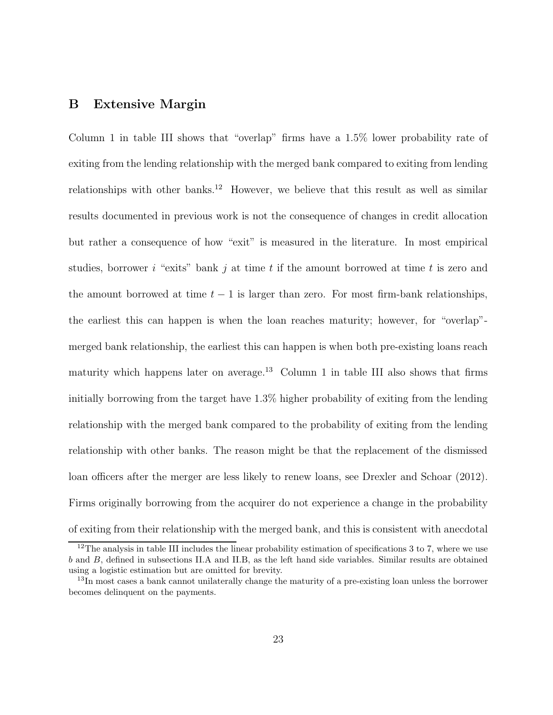### B Extensive Margin

Column 1 in table III shows that "overlap" firms have a 1.5% lower probability rate of exiting from the lending relationship with the merged bank compared to exiting from lending relationships with other banks.<sup>12</sup> However, we believe that this result as well as similar results documented in previous work is not the consequence of changes in credit allocation but rather a consequence of how "exit" is measured in the literature. In most empirical studies, borrower i "exits" bank j at time t if the amount borrowed at time t is zero and the amount borrowed at time  $t - 1$  is larger than zero. For most firm-bank relationships, the earliest this can happen is when the loan reaches maturity; however, for "overlap" merged bank relationship, the earliest this can happen is when both pre-existing loans reach maturity which happens later on average.<sup>13</sup> Column 1 in table III also shows that firms initially borrowing from the target have 1.3% higher probability of exiting from the lending relationship with the merged bank compared to the probability of exiting from the lending relationship with other banks. The reason might be that the replacement of the dismissed loan officers after the merger are less likely to renew loans, see Drexler and Schoar (2012). Firms originally borrowing from the acquirer do not experience a change in the probability of exiting from their relationship with the merged bank, and this is consistent with anecdotal

 $12$ The analysis in table III includes the linear probability estimation of specifications 3 to 7, where we use b and B, defined in subsections II.A and II.B, as the left hand side variables. Similar results are obtained using a logistic estimation but are omitted for brevity.

<sup>&</sup>lt;sup>13</sup>In most cases a bank cannot unilaterally change the maturity of a pre-existing loan unless the borrower becomes delinquent on the payments.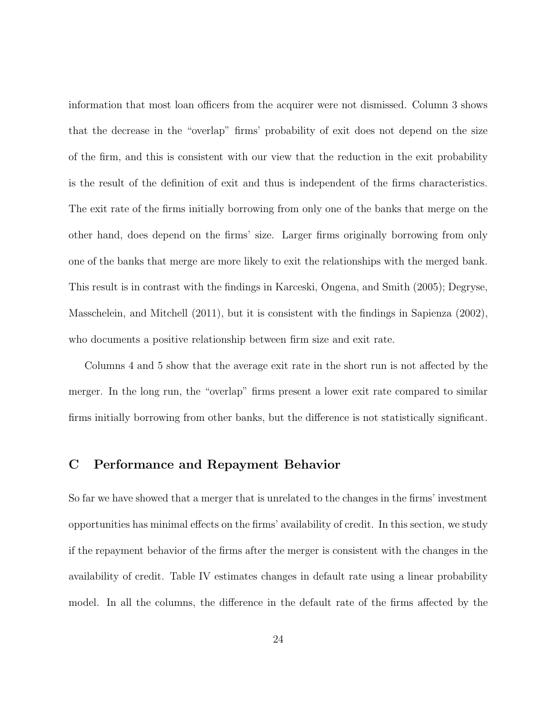information that most loan officers from the acquirer were not dismissed. Column 3 shows that the decrease in the "overlap" firms' probability of exit does not depend on the size of the firm, and this is consistent with our view that the reduction in the exit probability is the result of the definition of exit and thus is independent of the firms characteristics. The exit rate of the firms initially borrowing from only one of the banks that merge on the other hand, does depend on the firms' size. Larger firms originally borrowing from only one of the banks that merge are more likely to exit the relationships with the merged bank. This result is in contrast with the findings in Karceski, Ongena, and Smith (2005); Degryse, Masschelein, and Mitchell (2011), but it is consistent with the findings in Sapienza (2002), who documents a positive relationship between firm size and exit rate.

Columns 4 and 5 show that the average exit rate in the short run is not affected by the merger. In the long run, the "overlap" firms present a lower exit rate compared to similar firms initially borrowing from other banks, but the difference is not statistically significant.

### C Performance and Repayment Behavior

So far we have showed that a merger that is unrelated to the changes in the firms' investment opportunities has minimal effects on the firms' availability of credit. In this section, we study if the repayment behavior of the firms after the merger is consistent with the changes in the availability of credit. Table IV estimates changes in default rate using a linear probability model. In all the columns, the difference in the default rate of the firms affected by the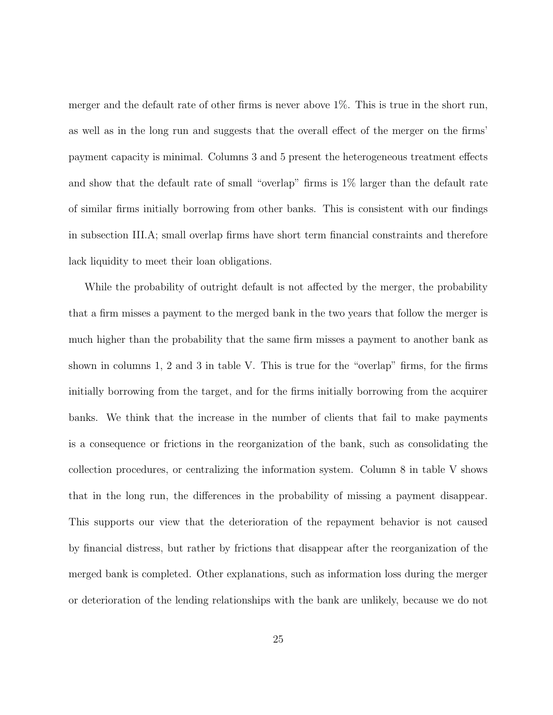merger and the default rate of other firms is never above 1%. This is true in the short run, as well as in the long run and suggests that the overall effect of the merger on the firms' payment capacity is minimal. Columns 3 and 5 present the heterogeneous treatment effects and show that the default rate of small "overlap" firms is 1% larger than the default rate of similar firms initially borrowing from other banks. This is consistent with our findings in subsection III.A; small overlap firms have short term financial constraints and therefore lack liquidity to meet their loan obligations.

While the probability of outright default is not affected by the merger, the probability that a firm misses a payment to the merged bank in the two years that follow the merger is much higher than the probability that the same firm misses a payment to another bank as shown in columns 1, 2 and 3 in table V. This is true for the "overlap" firms, for the firms initially borrowing from the target, and for the firms initially borrowing from the acquirer banks. We think that the increase in the number of clients that fail to make payments is a consequence or frictions in the reorganization of the bank, such as consolidating the collection procedures, or centralizing the information system. Column 8 in table V shows that in the long run, the differences in the probability of missing a payment disappear. This supports our view that the deterioration of the repayment behavior is not caused by financial distress, but rather by frictions that disappear after the reorganization of the merged bank is completed. Other explanations, such as information loss during the merger or deterioration of the lending relationships with the bank are unlikely, because we do not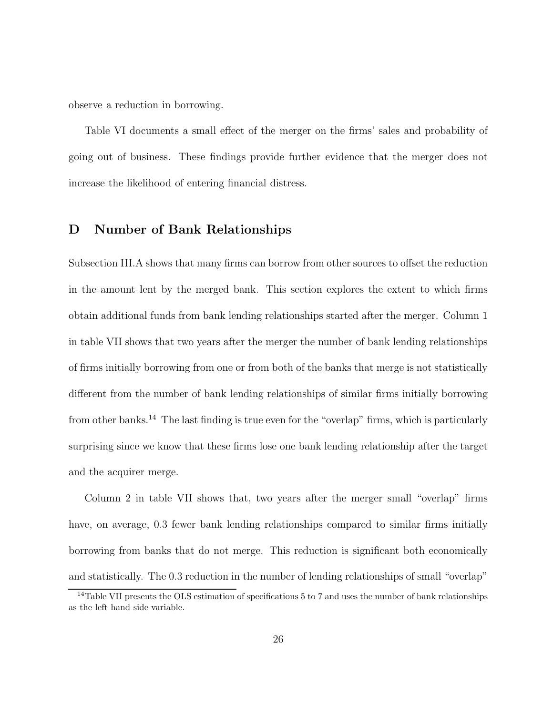observe a reduction in borrowing.

Table VI documents a small effect of the merger on the firms' sales and probability of going out of business. These findings provide further evidence that the merger does not increase the likelihood of entering financial distress.

### D Number of Bank Relationships

Subsection III.A shows that many firms can borrow from other sources to offset the reduction in the amount lent by the merged bank. This section explores the extent to which firms obtain additional funds from bank lending relationships started after the merger. Column 1 in table VII shows that two years after the merger the number of bank lending relationships of firms initially borrowing from one or from both of the banks that merge is not statistically different from the number of bank lending relationships of similar firms initially borrowing from other banks.<sup>14</sup> The last finding is true even for the "overlap" firms, which is particularly surprising since we know that these firms lose one bank lending relationship after the target and the acquirer merge.

Column 2 in table VII shows that, two years after the merger small "overlap" firms have, on average, 0.3 fewer bank lending relationships compared to similar firms initially borrowing from banks that do not merge. This reduction is significant both economically and statistically. The 0.3 reduction in the number of lending relationships of small "overlap"

<sup>&</sup>lt;sup>14</sup>Table VII presents the OLS estimation of specifications 5 to 7 and uses the number of bank relationships as the left hand side variable.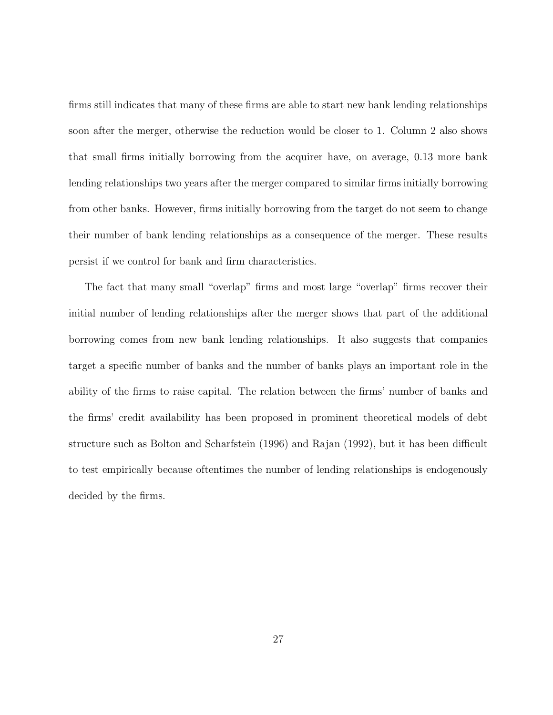firms still indicates that many of these firms are able to start new bank lending relationships soon after the merger, otherwise the reduction would be closer to 1. Column 2 also shows that small firms initially borrowing from the acquirer have, on average, 0.13 more bank lending relationships two years after the merger compared to similar firms initially borrowing from other banks. However, firms initially borrowing from the target do not seem to change their number of bank lending relationships as a consequence of the merger. These results persist if we control for bank and firm characteristics.

The fact that many small "overlap" firms and most large "overlap" firms recover their initial number of lending relationships after the merger shows that part of the additional borrowing comes from new bank lending relationships. It also suggests that companies target a specific number of banks and the number of banks plays an important role in the ability of the firms to raise capital. The relation between the firms' number of banks and the firms' credit availability has been proposed in prominent theoretical models of debt structure such as Bolton and Scharfstein (1996) and Rajan (1992), but it has been difficult to test empirically because oftentimes the number of lending relationships is endogenously decided by the firms.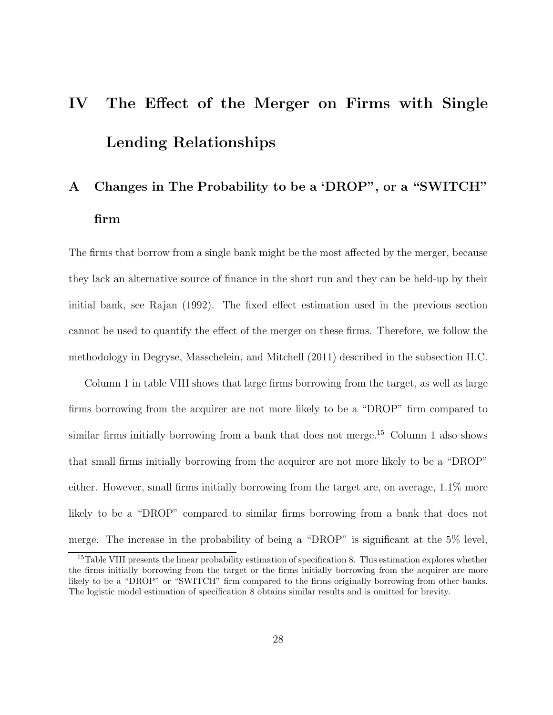# IV The Effect of the Merger on Firms with Single Lending Relationships

## A Changes in The Probability to be a 'DROP", or a "SWITCH" firm

The firms that borrow from a single bank might be the most affected by the merger, because they lack an alternative source of finance in the short run and they can be held-up by their initial bank, see Rajan (1992). The fixed effect estimation used in the previous section cannot be used to quantify the effect of the merger on these firms. Therefore, we follow the methodology in Degryse, Masschelein, and Mitchell (2011) described in the subsection II.C.

Column 1 in table VIII shows that large firms borrowing from the target, as well as large firms borrowing from the acquirer are not more likely to be a "DROP" firm compared to similar firms initially borrowing from a bank that does not merge.<sup>15</sup> Column 1 also shows that small firms initially borrowing from the acquirer are not more likely to be a "DROP" either. However, small firms initially borrowing from the target are, on average, 1.1% more likely to be a "DROP" compared to similar firms borrowing from a bank that does not merge. The increase in the probability of being a "DROP" is significant at the 5% level,

<sup>&</sup>lt;sup>15</sup>Table VIII presents the linear probability estimation of specification 8. This estimation explores whether the firms initially borrowing from the target or the firms initially borrowing from the acquirer are more likely to be a "DROP" or "SWITCH" firm compared to the firms originally borrowing from other banks. The logistic model estimation of specification 8 obtains similar results and is omitted for brevity.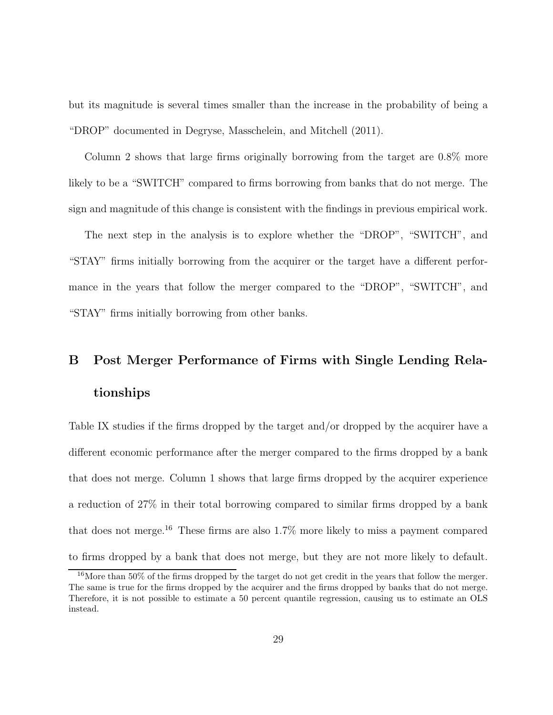but its magnitude is several times smaller than the increase in the probability of being a "DROP" documented in Degryse, Masschelein, and Mitchell (2011).

Column 2 shows that large firms originally borrowing from the target are 0.8% more likely to be a "SWITCH" compared to firms borrowing from banks that do not merge. The sign and magnitude of this change is consistent with the findings in previous empirical work.

The next step in the analysis is to explore whether the "DROP", "SWITCH", and "STAY" firms initially borrowing from the acquirer or the target have a different performance in the years that follow the merger compared to the "DROP", "SWITCH", and "STAY" firms initially borrowing from other banks.

## B Post Merger Performance of Firms with Single Lending Relationships

Table IX studies if the firms dropped by the target and/or dropped by the acquirer have a different economic performance after the merger compared to the firms dropped by a bank that does not merge. Column 1 shows that large firms dropped by the acquirer experience a reduction of 27% in their total borrowing compared to similar firms dropped by a bank that does not merge.<sup>16</sup> These firms are also  $1.7\%$  more likely to miss a payment compared to firms dropped by a bank that does not merge, but they are not more likely to default.

<sup>&</sup>lt;sup>16</sup>More than 50% of the firms dropped by the target do not get credit in the years that follow the merger. The same is true for the firms dropped by the acquirer and the firms dropped by banks that do not merge. Therefore, it is not possible to estimate a 50 percent quantile regression, causing us to estimate an OLS instead.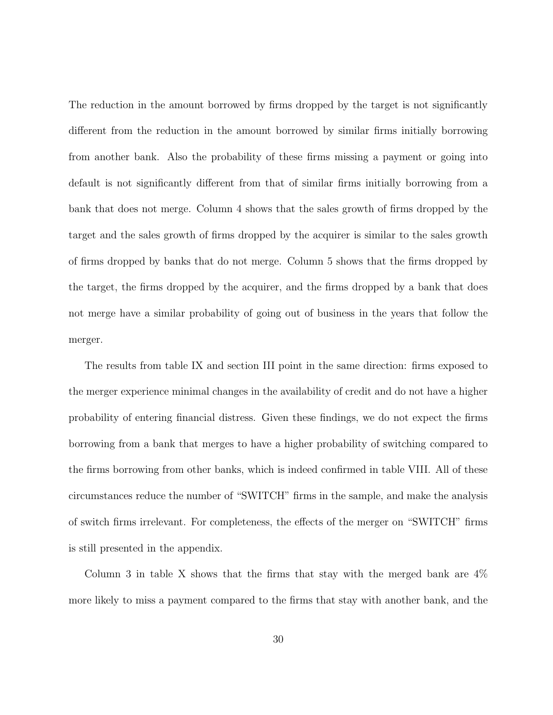The reduction in the amount borrowed by firms dropped by the target is not significantly different from the reduction in the amount borrowed by similar firms initially borrowing from another bank. Also the probability of these firms missing a payment or going into default is not significantly different from that of similar firms initially borrowing from a bank that does not merge. Column 4 shows that the sales growth of firms dropped by the target and the sales growth of firms dropped by the acquirer is similar to the sales growth of firms dropped by banks that do not merge. Column 5 shows that the firms dropped by the target, the firms dropped by the acquirer, and the firms dropped by a bank that does not merge have a similar probability of going out of business in the years that follow the merger.

The results from table IX and section III point in the same direction: firms exposed to the merger experience minimal changes in the availability of credit and do not have a higher probability of entering financial distress. Given these findings, we do not expect the firms borrowing from a bank that merges to have a higher probability of switching compared to the firms borrowing from other banks, which is indeed confirmed in table VIII. All of these circumstances reduce the number of "SWITCH" firms in the sample, and make the analysis of switch firms irrelevant. For completeness, the effects of the merger on "SWITCH" firms is still presented in the appendix.

Column 3 in table X shows that the firms that stay with the merged bank are 4% more likely to miss a payment compared to the firms that stay with another bank, and the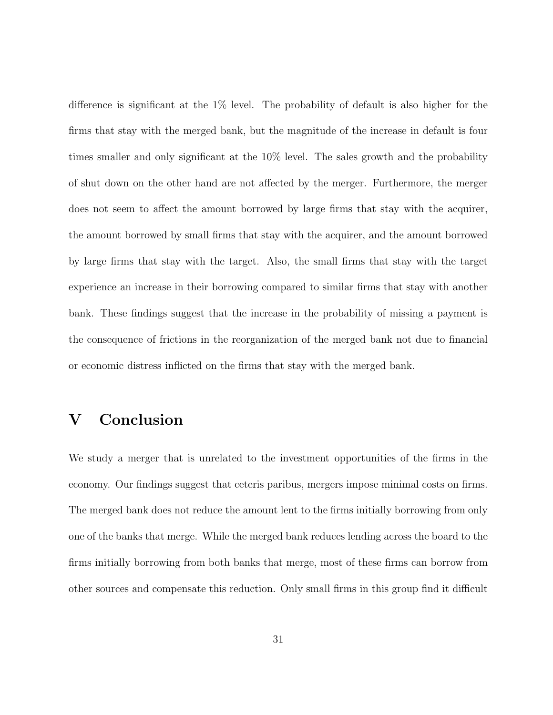difference is significant at the 1% level. The probability of default is also higher for the firms that stay with the merged bank, but the magnitude of the increase in default is four times smaller and only significant at the 10% level. The sales growth and the probability of shut down on the other hand are not affected by the merger. Furthermore, the merger does not seem to affect the amount borrowed by large firms that stay with the acquirer, the amount borrowed by small firms that stay with the acquirer, and the amount borrowed by large firms that stay with the target. Also, the small firms that stay with the target experience an increase in their borrowing compared to similar firms that stay with another bank. These findings suggest that the increase in the probability of missing a payment is the consequence of frictions in the reorganization of the merged bank not due to financial or economic distress inflicted on the firms that stay with the merged bank.

### V Conclusion

We study a merger that is unrelated to the investment opportunities of the firms in the economy. Our findings suggest that ceteris paribus, mergers impose minimal costs on firms. The merged bank does not reduce the amount lent to the firms initially borrowing from only one of the banks that merge. While the merged bank reduces lending across the board to the firms initially borrowing from both banks that merge, most of these firms can borrow from other sources and compensate this reduction. Only small firms in this group find it difficult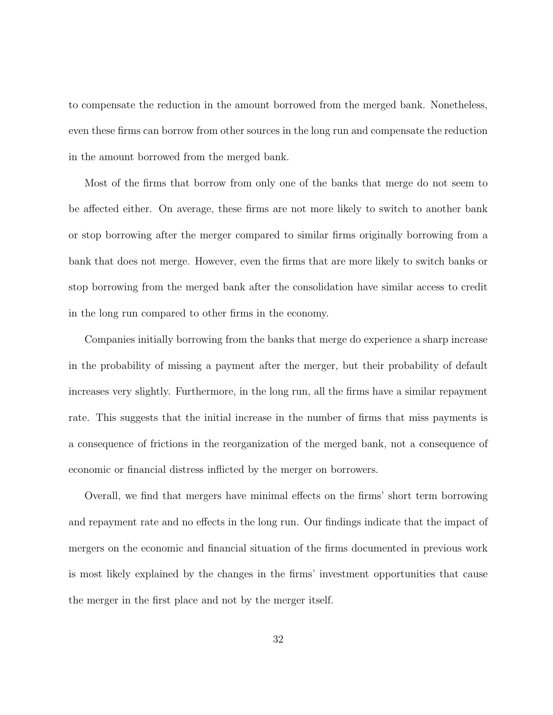to compensate the reduction in the amount borrowed from the merged bank. Nonetheless, even these firms can borrow from other sources in the long run and compensate the reduction in the amount borrowed from the merged bank.

Most of the firms that borrow from only one of the banks that merge do not seem to be affected either. On average, these firms are not more likely to switch to another bank or stop borrowing after the merger compared to similar firms originally borrowing from a bank that does not merge. However, even the firms that are more likely to switch banks or stop borrowing from the merged bank after the consolidation have similar access to credit in the long run compared to other firms in the economy.

Companies initially borrowing from the banks that merge do experience a sharp increase in the probability of missing a payment after the merger, but their probability of default increases very slightly. Furthermore, in the long run, all the firms have a similar repayment rate. This suggests that the initial increase in the number of firms that miss payments is a consequence of frictions in the reorganization of the merged bank, not a consequence of economic or financial distress inflicted by the merger on borrowers.

Overall, we find that mergers have minimal effects on the firms' short term borrowing and repayment rate and no effects in the long run. Our findings indicate that the impact of mergers on the economic and financial situation of the firms documented in previous work is most likely explained by the changes in the firms' investment opportunities that cause the merger in the first place and not by the merger itself.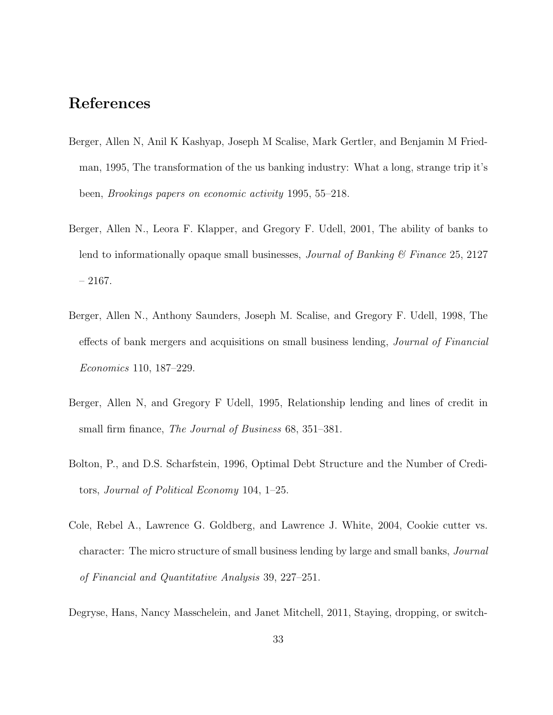### References

- Berger, Allen N, Anil K Kashyap, Joseph M Scalise, Mark Gertler, and Benjamin M Friedman, 1995, The transformation of the us banking industry: What a long, strange trip it's been, Brookings papers on economic activity 1995, 55–218.
- Berger, Allen N., Leora F. Klapper, and Gregory F. Udell, 2001, The ability of banks to lend to informationally opaque small businesses, *Journal of Banking*  $\mathcal C$  *Finance* 25, 2127  $-2167.$
- Berger, Allen N., Anthony Saunders, Joseph M. Scalise, and Gregory F. Udell, 1998, The effects of bank mergers and acquisitions on small business lending, Journal of Financial Economics 110, 187–229.
- Berger, Allen N, and Gregory F Udell, 1995, Relationship lending and lines of credit in small firm finance, *The Journal of Business* 68, 351–381.
- Bolton, P., and D.S. Scharfstein, 1996, Optimal Debt Structure and the Number of Creditors, Journal of Political Economy 104, 1–25.
- Cole, Rebel A., Lawrence G. Goldberg, and Lawrence J. White, 2004, Cookie cutter vs. character: The micro structure of small business lending by large and small banks, Journal of Financial and Quantitative Analysis 39, 227–251.
- Degryse, Hans, Nancy Masschelein, and Janet Mitchell, 2011, Staying, dropping, or switch-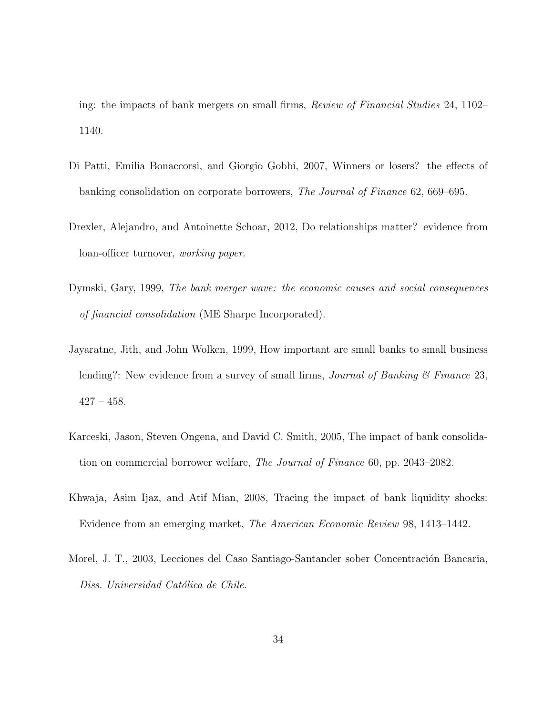ing: the impacts of bank mergers on small firms, Review of Financial Studies 24, 1102– 1140.

- Di Patti, Emilia Bonaccorsi, and Giorgio Gobbi, 2007, Winners or losers? the effects of banking consolidation on corporate borrowers, The Journal of Finance 62, 669–695.
- Drexler, Alejandro, and Antoinette Schoar, 2012, Do relationships matter? evidence from loan-officer turnover, working paper.
- Dymski, Gary, 1999, The bank merger wave: the economic causes and social consequences of financial consolidation (ME Sharpe Incorporated).
- Jayaratne, Jith, and John Wolken, 1999, How important are small banks to small business lending?: New evidence from a survey of small firms, *Journal of Banking*  $\&$  *Finance* 23,  $427 - 458.$
- Karceski, Jason, Steven Ongena, and David C. Smith, 2005, The impact of bank consolidation on commercial borrower welfare, The Journal of Finance 60, pp. 2043–2082.
- Khwaja, Asim Ijaz, and Atif Mian, 2008, Tracing the impact of bank liquidity shocks: Evidence from an emerging market, The American Economic Review 98, 1413–1442.
- Morel, J. T., 2003, Lecciones del Caso Santiago-Santander sober Concentración Bancaria, Diss. Universidad Católica de Chile.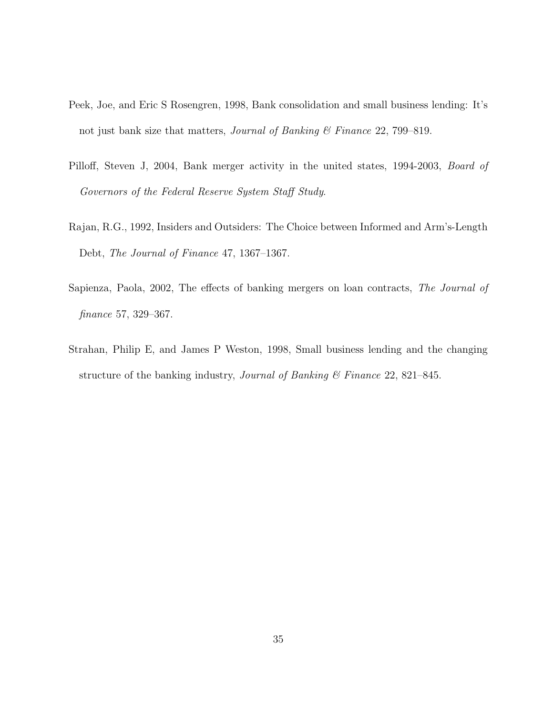- Peek, Joe, and Eric S Rosengren, 1998, Bank consolidation and small business lending: It's not just bank size that matters, *Journal of Banking*  $\&$  Finance 22, 799–819.
- Pilloff, Steven J, 2004, Bank merger activity in the united states, 1994-2003, Board of Governors of the Federal Reserve System Staff Study.
- Rajan, R.G., 1992, Insiders and Outsiders: The Choice between Informed and Arm's-Length Debt, The Journal of Finance 47, 1367–1367.
- Sapienza, Paola, 2002, The effects of banking mergers on loan contracts, The Journal of finance 57, 329–367.
- Strahan, Philip E, and James P Weston, 1998, Small business lending and the changing structure of the banking industry, *Journal of Banking*  $\mathcal{C}$  Finance 22, 821–845.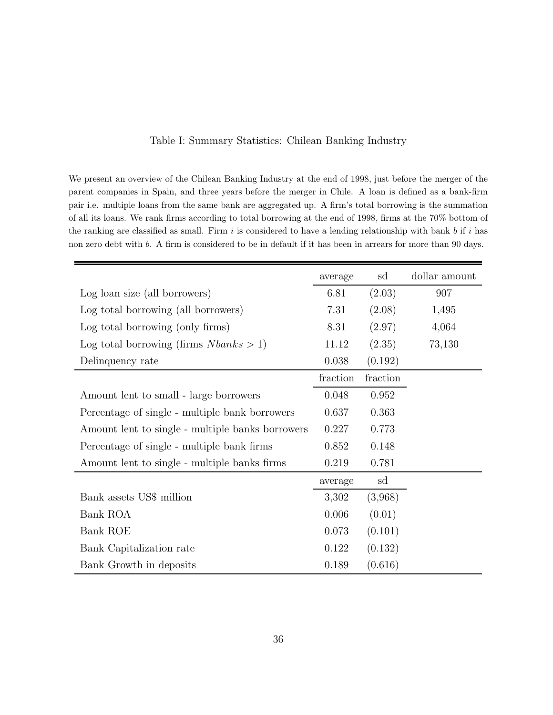| Table I: Summary Statistics: Chilean Banking Industry |  |
|-------------------------------------------------------|--|
|-------------------------------------------------------|--|

We present an overview of the Chilean Banking Industry at the end of 1998, just before the merger of the parent companies in Spain, and three years before the merger in Chile. A loan is defined as a bank-firm pair i.e. multiple loans from the same bank are aggregated up. A firm's total borrowing is the summation of all its loans. We rank firms according to total borrowing at the end of 1998, firms at the 70% bottom of the ranking are classified as small. Firm  $i$  is considered to have a lending relationship with bank  $b$  if  $i$  has non zero debt with b. A firm is considered to be in default if it has been in arrears for more than 90 days.

|                                                  | average   | sd       | dollar amount |
|--------------------------------------------------|-----------|----------|---------------|
| Log loan size (all borrowers)                    | 6.81      | (2.03)   | 907           |
| Log total borrowing (all borrowers)              | 7.31      | (2.08)   | 1,495         |
| Log total borrowing (only firms)                 | 8.31      | (2.97)   | 4,064         |
| Log total borrowing (firms $Nbanks > 1$ )        | 11.12     | (2.35)   | 73,130        |
| Delinquency rate                                 | 0.038     | (0.192)  |               |
|                                                  | fraction  | fraction |               |
| Amount lent to small - large borrowers           | 0.048     | 0.952    |               |
| Percentage of single - multiple bank borrowers   | 0.637     | 0.363    |               |
| Amount lent to single - multiple banks borrowers | 0.227     | 0.773    |               |
| Percentage of single - multiple bank firms       | 0.852     | 0.148    |               |
| Amount lent to single - multiple banks firms     | 0.219     | 0.781    |               |
|                                                  | average   | sd       |               |
| Bank assets US\$ million                         | 3,302     | (3,968)  |               |
| Bank ROA                                         | 0.006     | (0.01)   |               |
| Bank ROE                                         | 0.073     | (0.101)  |               |
| Bank Capitalization rate                         | 0.122     | (0.132)  |               |
| Bank Growth in deposits                          | $0.189\,$ | (0.616)  |               |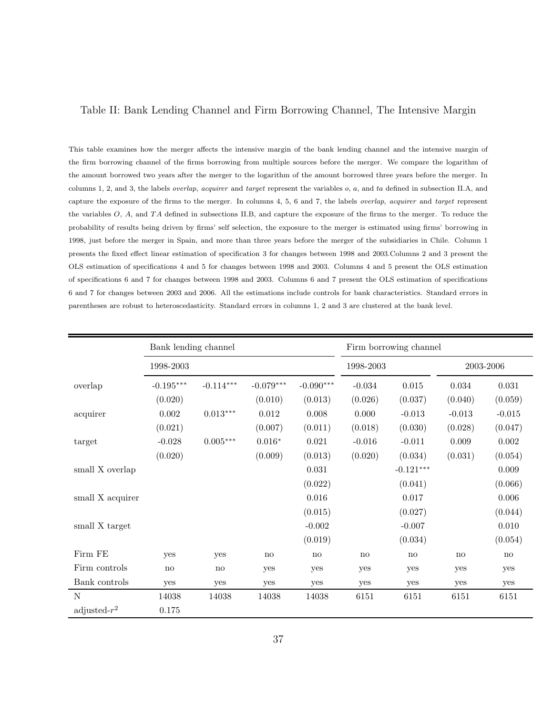#### Table II: Bank Lending Channel and Firm Borrowing Channel, The Intensive Margin

This table examines how the merger affects the intensive margin of the bank lending channel and the intensive margin of the firm borrowing channel of the firms borrowing from multiple sources before the merger. We compare the logarithm of the amount borrowed two years after the merger to the logarithm of the amount borrowed three years before the merger. In columns 1, 2, and 3, the labels overlap, acquirer and target represent the variables o, a, and ta defined in subsection II.A, and capture the exposure of the firms to the merger. In columns 4, 5, 6 and 7, the labels overlap, acquirer and target represent the variables  $O$ ,  $A$ , and  $TA$  defined in subsections II.B, and capture the exposure of the firms to the merger. To reduce the probability of results being driven by firms' self selection, the exposure to the merger is estimated using firms' borrowing in 1998, just before the merger in Spain, and more than three years before the merger of the subsidiaries in Chile. Column 1 presents the fixed effect linear estimation of specification 3 for changes between 1998 and 2003.Columns 2 and 3 present the OLS estimation of specifications 4 and 5 for changes between 1998 and 2003. Columns 4 and 5 present the OLS estimation of specifications 6 and 7 for changes between 1998 and 2003. Columns 6 and 7 present the OLS estimation of specifications 6 and 7 for changes between 2003 and 2006. All the estimations include controls for bank characteristics. Standard errors in parentheses are robust to heteroscedasticity. Standard errors in columns 1, 2 and 3 are clustered at the bank level.

|                  | Bank lending channel |                        |             |             | Firm borrowing channel |             |           |          |
|------------------|----------------------|------------------------|-------------|-------------|------------------------|-------------|-----------|----------|
|                  | 1998-2003            |                        | 1998-2003   |             |                        | 2003-2006   |           |          |
| overlap          | $-0.195***$          | $-0.114***$            | $-0.079***$ | $-0.090***$ | $-0.034$               | $\,0.015\,$ | $0.034\,$ | 0.031    |
|                  | (0.020)              |                        | (0.010)     | (0.013)     | (0.026)                | (0.037)     | (0.040)   | (0.059)  |
| acquirer         | 0.002                | $0.013***$             | 0.012       | 0.008       | 0.000                  | $-0.013$    | $-0.013$  | $-0.015$ |
|                  | (0.021)              |                        | (0.007)     | (0.011)     | (0.018)                | (0.030)     | (0.028)   | (0.047)  |
| target           | $-0.028$             | $0.005^{***}\,$        | $0.016*$    | 0.021       | $-0.016$               | $-0.011$    | 0.009     | 0.002    |
|                  | (0.020)              |                        | (0.009)     | (0.013)     | (0.020)                | (0.034)     | (0.031)   | (0.054)  |
| small X overlap  |                      |                        |             | $\,0.031\,$ |                        | $-0.121***$ |           | 0.009    |
|                  |                      |                        |             | (0.022)     |                        | (0.041)     |           | (0.066)  |
| small X acquirer |                      |                        |             | 0.016       |                        | 0.017       |           | 0.006    |
|                  |                      |                        |             | (0.015)     |                        | (0.027)     |           | (0.044)  |
| small X target   |                      |                        |             | $-0.002$    |                        | $-0.007$    |           | 0.010    |
|                  |                      |                        |             | (0.019)     |                        | (0.034)     |           | (0.054)  |
| Firm FE          | yes                  | yes                    | no          | no          | no                     | no          | no        | no       |
| Firm controls    | no                   | $\mathbf{n}\mathbf{o}$ | yes         | yes         | yes                    | yes         | yes       | yes      |
| Bank controls    | yes                  | yes                    | yes         | yes         | yes                    | yes         | yes       | yes      |
| N                | 14038                | 14038                  | 14038       | 14038       | 6151                   | 6151        | 6151      | 6151     |
| adjusted- $r^2$  | 0.175                |                        |             |             |                        |             |           |          |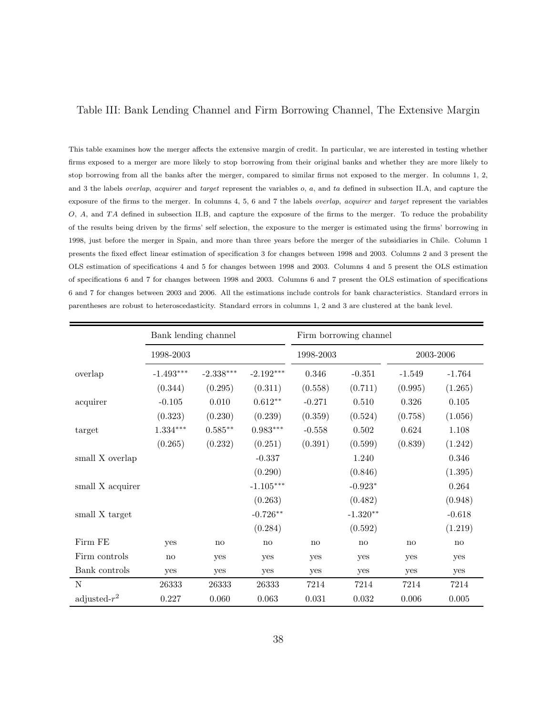### Table III: Bank Lending Channel and Firm Borrowing Channel, The Extensive Margin

This table examines how the merger affects the extensive margin of credit. In particular, we are interested in testing whether firms exposed to a merger are more likely to stop borrowing from their original banks and whether they are more likely to stop borrowing from all the banks after the merger, compared to similar firms not exposed to the merger. In columns 1, 2, and 3 the labels *overlap, acquirer* and *target* represent the variables o, a, and ta defined in subsection II.A, and capture the exposure of the firms to the merger. In columns 4, 5, 6 and 7 the labels overlap, acquirer and target represent the variables O, A, and TA defined in subsection II.B, and capture the exposure of the firms to the merger. To reduce the probability of the results being driven by the firms' self selection, the exposure to the merger is estimated using the firms' borrowing in 1998, just before the merger in Spain, and more than three years before the merger of the subsidiaries in Chile. Column 1 presents the fixed effect linear estimation of specification 3 for changes between 1998 and 2003. Columns 2 and 3 present the OLS estimation of specifications 4 and 5 for changes between 1998 and 2003. Columns 4 and 5 present the OLS estimation of specifications 6 and 7 for changes between 1998 and 2003. Columns 6 and 7 present the OLS estimation of specifications 6 and 7 for changes between 2003 and 2006. All the estimations include controls for bank characteristics. Standard errors in parentheses are robust to heteroscedasticity. Standard errors in columns 1, 2 and 3 are clustered at the bank level.

|                  | Bank lending channel |             |             | Firm borrowing channel |             |          |           |
|------------------|----------------------|-------------|-------------|------------------------|-------------|----------|-----------|
|                  | 1998-2003            |             |             | 1998-2003              |             |          | 2003-2006 |
| overlap          | $-1.493***$          | $-2.338***$ | $-2.192***$ | 0.346                  | $-0.351$    | $-1.549$ | $-1.764$  |
|                  | (0.344)              | (0.295)     | (0.311)     | (0.558)                | (0.711)     | (0.995)  | (1.265)   |
| acquirer         | $-0.105$             | 0.010       | $0.612**$   | $-0.271$               | 0.510       | 0.326    | 0.105     |
|                  | (0.323)              | (0.230)     | (0.239)     | (0.359)                | (0.524)     | (0.758)  | (1.056)   |
| target           | $1.334***$           | $0.585**$   | $0.983***$  | $-0.558$               | 0.502       | 0.624    | 1.108     |
|                  | (0.265)              | (0.232)     | (0.251)     | (0.391)                | (0.599)     | (0.839)  | (1.242)   |
| small X overlap  |                      |             | $-0.337$    |                        | 1.240       |          | 0.346     |
|                  |                      |             | (0.290)     |                        | (0.846)     |          | (1.395)   |
| small X acquirer |                      |             | $-1.105***$ |                        | $-0.923*$   |          | 0.264     |
|                  |                      |             | (0.263)     |                        | (0.482)     |          | (0.948)   |
| small X target   |                      |             | $-0.726**$  |                        | $-1.320**$  |          | $-0.618$  |
|                  |                      |             | (0.284)     |                        | (0.592)     |          | (1.219)   |
| Firm FE          | yes                  | no          | no          | no                     | no          | no       | no        |
| Firm controls    | no                   | yes         | yes         | yes                    | yes         | yes      | yes       |
| Bank controls    | yes                  | yes         | yes         | yes                    | yes         | yes      | yes       |
| N                | 26333                | 26333       | 26333       | 7214                   | 7214        | 7214     | 7214      |
| adjusted- $r^2$  | 0.227                | 0.060       | 0.063       | 0.031                  | $\,0.032\,$ | 0.006    | 0.005     |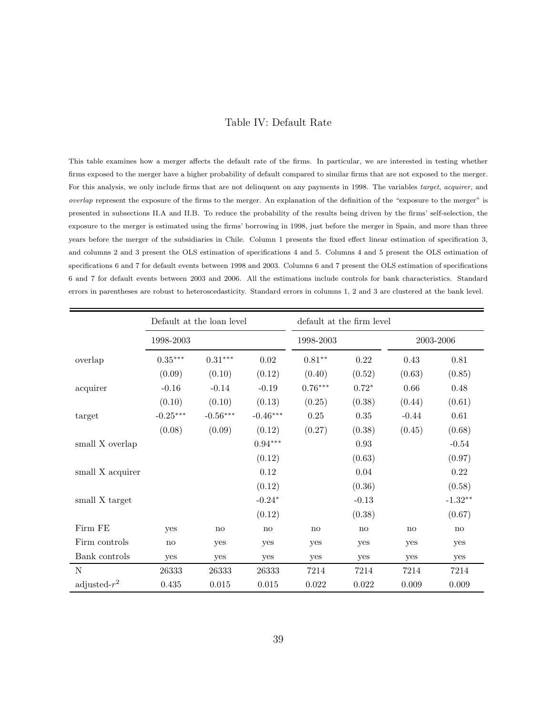#### Table IV: Default Rate

This table examines how a merger affects the default rate of the firms. In particular, we are interested in testing whether firms exposed to the merger have a higher probability of default compared to similar firms that are not exposed to the merger. For this analysis, we only include firms that are not delinquent on any payments in 1998. The variables target, acquirer, and overlap represent the exposure of the firms to the merger. An explanation of the definition of the "exposure to the merger" is presented in subsections II.A and II.B. To reduce the probability of the results being driven by the firms' self-selection, the exposure to the merger is estimated using the firms' borrowing in 1998, just before the merger in Spain, and more than three years before the merger of the subsidiaries in Chile. Column 1 presents the fixed effect linear estimation of specification 3, and columns 2 and 3 present the OLS estimation of specifications 4 and 5. Columns 4 and 5 present the OLS estimation of specifications 6 and 7 for default events between 1998 and 2003. Columns 6 and 7 present the OLS estimation of specifications 6 and 7 for default events between 2003 and 2006. All the estimations include controls for bank characteristics. Standard errors in parentheses are robust to heteroscedasticity. Standard errors in columns 1, 2 and 3 are clustered at the bank level.

|                          |            | Default at the loan level |            |              | default at the firm level |           |           |
|--------------------------|------------|---------------------------|------------|--------------|---------------------------|-----------|-----------|
|                          | 1998-2003  |                           |            | 1998-2003    |                           |           | 2003-2006 |
| overlap                  | $0.35***$  | $0.31***$                 | 0.02       | $0.81**$     | 0.22                      | 0.43      | 0.81      |
|                          | (0.09)     | (0.10)                    | (0.12)     | (0.40)       | (0.52)                    | (0.63)    | (0.85)    |
| $\operatorname{acquire}$ | $-0.16$    | $-0.14$                   | $-0.19$    | $0.76***$    | $0.72*$                   | 0.66      | 0.48      |
|                          | (0.10)     | (0.10)                    | (0.13)     | (0.25)       | (0.38)                    | (0.44)    | (0.61)    |
| target                   | $-0.25***$ | $-0.56***$                | $-0.46***$ | 0.25         | $0.35\,$                  | $-0.44$   | $0.61\,$  |
|                          | (0.08)     | (0.09)                    | (0.12)     | (0.27)       | (0.38)                    | (0.45)    | (0.68)    |
| small X overlap          |            |                           | $0.94***$  |              | 0.93                      |           | $-0.54$   |
|                          |            |                           | (0.12)     |              | (0.63)                    |           | (0.97)    |
| small X acquirer         |            |                           | 0.12       |              | $0.04\,$                  |           | $0.22\,$  |
|                          |            |                           | (0.12)     |              | (0.36)                    |           | (0.58)    |
| small X target           |            |                           | $-0.24*$   |              | $-0.13$                   |           | $-1.32**$ |
|                          |            |                           | (0.12)     |              | (0.38)                    |           | (0.67)    |
| Firm FE                  | yes        | no                        | no         | $\mathbf{n}$ | no                        | no        | no        |
| Firm controls            | no         | yes                       | yes        | yes          | yes                       | yes       | yes       |
| Bank controls            | yes        | yes                       | yes        | yes          | yes                       | yes       | yes       |
| N                        | 26333      | 26333                     | 26333      | 7214         | 7214                      | 7214      | 7214      |
| adjusted- $r^2$          | $0.435\,$  | 0.015                     | 0.015      | 0.022        | $0.022\,$                 | $0.009\,$ | $0.009\,$ |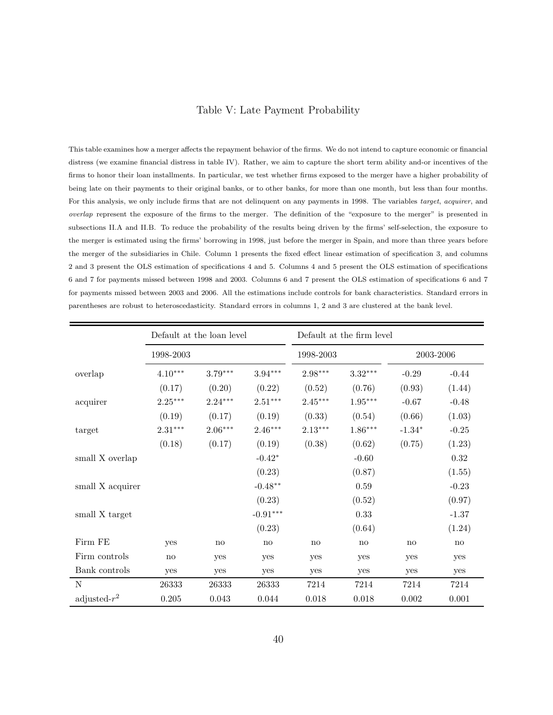### Table V: Late Payment Probability

This table examines how a merger affects the repayment behavior of the firms. We do not intend to capture economic or financial distress (we examine financial distress in table IV). Rather, we aim to capture the short term ability and-or incentives of the firms to honor their loan installments. In particular, we test whether firms exposed to the merger have a higher probability of being late on their payments to their original banks, or to other banks, for more than one month, but less than four months. For this analysis, we only include firms that are not delinquent on any payments in 1998. The variables target, acquirer, and overlap represent the exposure of the firms to the merger. The definition of the "exposure to the merger" is presented in subsections II.A and II.B. To reduce the probability of the results being driven by the firms' self-selection, the exposure to the merger is estimated using the firms' borrowing in 1998, just before the merger in Spain, and more than three years before the merger of the subsidiaries in Chile. Column 1 presents the fixed effect linear estimation of specification 3, and columns 2 and 3 present the OLS estimation of specifications 4 and 5. Columns 4 and 5 present the OLS estimation of specifications 6 and 7 for payments missed between 1998 and 2003. Columns 6 and 7 present the OLS estimation of specifications 6 and 7 for payments missed between 2003 and 2006. All the estimations include controls for bank characteristics. Standard errors in parentheses are robust to heteroscedasticity. Standard errors in columns 1, 2 and 3 are clustered at the bank level.

|                  | Default at the loan level |           |            |           | Default at the firm level |           |         |
|------------------|---------------------------|-----------|------------|-----------|---------------------------|-----------|---------|
|                  | 1998-2003                 |           | 1998-2003  |           |                           | 2003-2006 |         |
| overlap          | $4.10***$                 | $3.79***$ | $3.94***$  | 2.98***   | $3.32***$                 | $-0.29$   | $-0.44$ |
|                  | (0.17)                    | (0.20)    | (0.22)     | (0.52)    | (0.76)                    | (0.93)    | (1.44)  |
| acquirer         | $2.25***$                 | $2.24***$ | $2.51***$  | $2.45***$ | $1.95***$                 | $-0.67$   | $-0.48$ |
|                  | (0.19)                    | (0.17)    | (0.19)     | (0.33)    | (0.54)                    | (0.66)    | (1.03)  |
| target           | $2.31***$                 | $2.06***$ | $2.46***$  | $2.13***$ | $1.86***$                 | $-1.34*$  | $-0.25$ |
|                  | (0.18)                    | (0.17)    | (0.19)     | (0.38)    | (0.62)                    | (0.75)    | (1.23)  |
| small X overlap  |                           |           | $-0.42*$   |           | $-0.60$                   |           | 0.32    |
|                  |                           |           | (0.23)     |           | (0.87)                    |           | (1.55)  |
| small X acquirer |                           |           | $-0.48**$  |           | $0.59\,$                  |           | $-0.23$ |
|                  |                           |           | (0.23)     |           | (0.52)                    |           | (0.97)  |
| small X target   |                           |           | $-0.91***$ |           | 0.33                      |           | $-1.37$ |
|                  |                           |           | (0.23)     |           | (0.64)                    |           | (1.24)  |
| Firm FE          | yes                       | no        | no         | no        | no                        | no        | no      |
| Firm controls    | no                        | yes       | yes        | yes       | yes                       | yes       | yes     |
| Bank controls    | yes                       | yes       | yes        | yes       | yes                       | yes       | yes     |
| N                | 26333                     | 26333     | 26333      | 7214      | 7214                      | 7214      | 7214    |
| adjusted- $r^2$  | 0.205                     | 0.043     | 0.044      | 0.018     | 0.018                     | $0.002\,$ | 0.001   |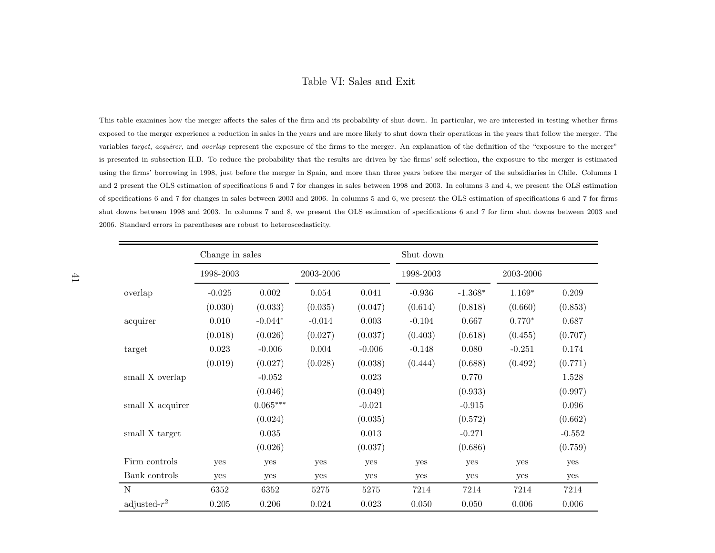### Table VI: Sales and Exit

This table examines how the merger affects the sales of the firm and its probability of shut down. In particular, we are interested in testing whether firms exposed to the merger experience <sup>a</sup> reduction in sales in the years and are more likely to shut down their operations in the years that follow the merger. The variables *target, acquirer*, and *overlap* represent the exposure of the firms to the merger. An explanation of the definition of the "exposure to the merger" is presented in subsection II.B. To reduce the probability that the results are driven by the firms' self selection, the exposure to the merger is estimatedusing the firms' borrowing in 1998, just before the merger in Spain, and more than three years before the merger of the subsidiaries in Chile. Columns <sup>1</sup>and <sup>2</sup> present the OLS estimation of specifications <sup>6</sup> and <sup>7</sup> for changes in sales between <sup>1998</sup> and 2003. In columns <sup>3</sup> and 4, we present the OLS estimationof specifications <sup>6</sup> and <sup>7</sup> for changes in sales between <sup>2003</sup> and 2006. In columns <sup>5</sup> and 6, we present the OLS estimation of specifications <sup>6</sup> and <sup>7</sup> for firms shut downs between <sup>1998</sup> and 2003. In columns <sup>7</sup> and 8, we present the OLS estimation of specifications <sup>6</sup> and <sup>7</sup> for firm shut downs between <sup>2003</sup> and2006. Standard errors in parentheses are robust to heteroscedasticity.

|                  | Change in sales |            |           |          | Shut down |           |           |          |
|------------------|-----------------|------------|-----------|----------|-----------|-----------|-----------|----------|
|                  | 1998-2003       |            | 2003-2006 |          |           |           | 2003-2006 |          |
| overlap          | $-0.025$        | 0.002      | 0.054     | 0.041    | $-0.936$  | $-1.368*$ | $1.169*$  | 0.209    |
|                  | (0.030)         | (0.033)    | (0.035)   | (0.047)  | (0.614)   | (0.818)   | (0.660)   | (0.853)  |
| acquirer         | 0.010           | $-0.044*$  | $-0.014$  | 0.003    | $-0.104$  | 0.667     | $0.770*$  | 0.687    |
|                  | (0.018)         | (0.026)    | (0.027)   | (0.037)  | (0.403)   | (0.618)   | (0.455)   | (0.707)  |
| target           | 0.023           | $-0.006$   | 0.004     | $-0.006$ | $-0.148$  | 0.080     | $-0.251$  | 0.174    |
|                  | (0.019)         | (0.027)    | (0.028)   | (0.038)  | (0.444)   | (0.688)   | (0.492)   | (0.771)  |
| small X overlap  |                 | $-0.052$   |           | 0.023    |           | 0.770     |           | 1.528    |
|                  |                 | (0.046)    |           | (0.049)  |           | (0.933)   |           | (0.997)  |
| small X acquirer |                 | $0.065***$ |           | $-0.021$ |           | $-0.915$  |           | 0.096    |
|                  |                 | (0.024)    |           | (0.035)  |           | (0.572)   |           | (0.662)  |
| small X target   |                 | $0.035\,$  |           | 0.013    |           | $-0.271$  |           | $-0.552$ |
|                  |                 | (0.026)    |           | (0.037)  |           | (0.686)   |           | (0.759)  |
| Firm controls    | yes             | yes        | yes       | yes      | yes       | yes       | yes       | yes      |
| Bank controls    | yes             | yes        | yes       | yes      | yes       | yes       | yes       | yes      |
| N                | 6352            | 6352       | 5275      | 5275     | 7214      | 7214      | 7214      | 7214     |
| adjusted- $r^2$  | 0.205           | 0.206      | 0.024     | 0.023    | 0.050     | 0.050     | 0.006     | 0.006    |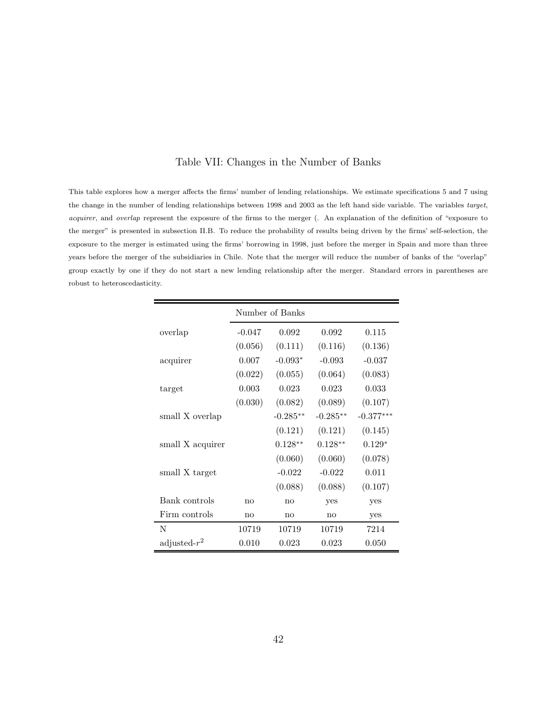#### Table VII: Changes in the Number of Banks

This table explores how a merger affects the firms' number of lending relationships. We estimate specifications 5 and 7 using the change in the number of lending relationships between 1998 and 2003 as the left hand side variable. The variables target, acquirer, and overlap represent the exposure of the firms to the merger (. An explanation of the definition of "exposure to the merger" is presented in subsection II.B. To reduce the probability of results being driven by the firms' self-selection, the exposure to the merger is estimated using the firms' borrowing in 1998, just before the merger in Spain and more than three years before the merger of the subsidiaries in Chile. Note that the merger will reduce the number of banks of the "overlap" group exactly by one if they do not start a new lending relationship after the merger. Standard errors in parentheses are robust to heteroscedasticity.

|                  | Number of Banks |            |            |             |  |  |  |
|------------------|-----------------|------------|------------|-------------|--|--|--|
| overlap          | $-0.047$        | 0.092      | 0.092      | 0.115       |  |  |  |
|                  | (0.056)         | (0.111)    | (0.116)    | (0.136)     |  |  |  |
| acquirer         | 0.007           | $-0.093*$  | $-0.093$   | $-0.037$    |  |  |  |
|                  | (0.022)         | (0.055)    | (0.064)    | (0.083)     |  |  |  |
| target           | 0.003           | 0.023      | 0.023      | 0.033       |  |  |  |
|                  | (0.030)         | (0.082)    | (0.089)    | (0.107)     |  |  |  |
| small X overlap  |                 | $-0.285**$ | $-0.285**$ | $-0.377***$ |  |  |  |
|                  |                 | (0.121)    | (0.121)    | (0.145)     |  |  |  |
| small X acquirer |                 | $0.128**$  | $0.128**$  | $0.129*$    |  |  |  |
|                  |                 | (0.060)    | (0.060)    | (0.078)     |  |  |  |
| small X target   |                 | $-0.022$   | $-0.022$   | 0.011       |  |  |  |
|                  |                 | (0.088)    | (0.088)    | (0.107)     |  |  |  |
| Bank controls    | no              | no         | yes        | yes         |  |  |  |
| Firm controls    | no              | no         | no         | yes         |  |  |  |
| N                | 10719           | 10719      | 10719      | 7214        |  |  |  |
| adjusted- $r^2$  | 0.010           | 0.023      | 0.023      | 0.050       |  |  |  |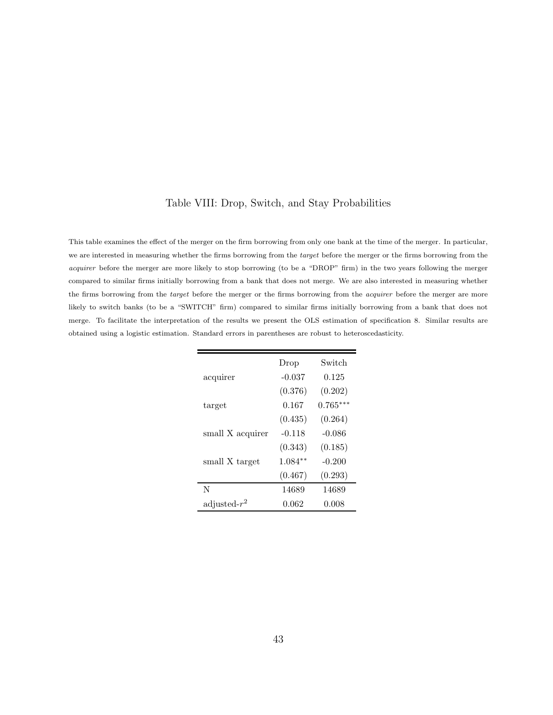### Table VIII: Drop, Switch, and Stay Probabilities

This table examines the effect of the merger on the firm borrowing from only one bank at the time of the merger. In particular, we are interested in measuring whether the firms borrowing from the target before the merger or the firms borrowing from the acquirer before the merger are more likely to stop borrowing (to be a "DROP" firm) in the two years following the merger compared to similar firms initially borrowing from a bank that does not merge. We are also interested in measuring whether the firms borrowing from the target before the merger or the firms borrowing from the acquirer before the merger are more likely to switch banks (to be a "SWITCH" firm) compared to similar firms initially borrowing from a bank that does not merge. To facilitate the interpretation of the results we present the OLS estimation of specification 8. Similar results are obtained using a logistic estimation. Standard errors in parentheses are robust to heteroscedasticity.

|                  | Drop      | Switch     |
|------------------|-----------|------------|
| acquirer         | $-0.037$  | 0.125      |
|                  | (0.376)   | (0.202)    |
| target           | 0.167     | $0.765***$ |
|                  | (0.435)   | (0.264)    |
| small X acquirer | $-0.118$  | $-0.086$   |
|                  | (0.343)   | (0.185)    |
| small X target   | $1.084**$ | $-0.200$   |
|                  | (0.467)   | (0.293)    |
| N                | 14689     | 14689      |
| adjusted- $r^2$  | 0.062     | 0.008      |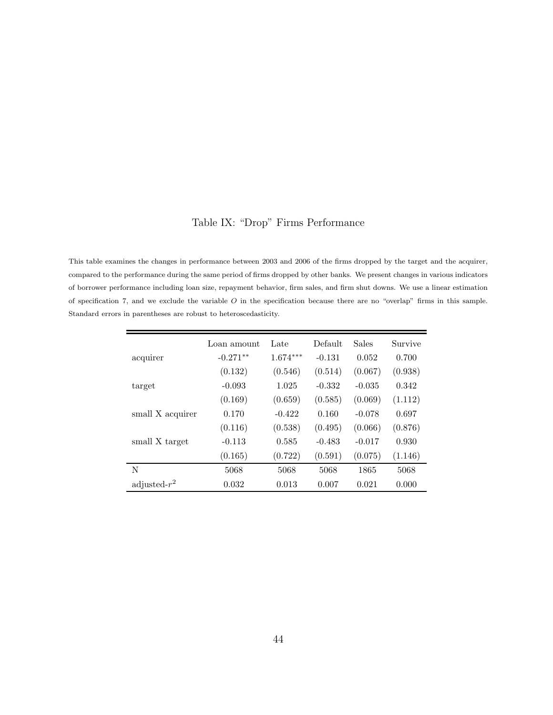### Table IX: "Drop" Firms Performance

This table examines the changes in performance between 2003 and 2006 of the firms dropped by the target and the acquirer, compared to the performance during the same period of firms dropped by other banks. We present changes in various indicators of borrower performance including loan size, repayment behavior, firm sales, and firm shut downs. We use a linear estimation of specification 7, and we exclude the variable  $O$  in the specification because there are no "overlap" firms in this sample. Standard errors in parentheses are robust to heteroscedasticity.

|                  | Loan amount | Late       | Default  | <b>Sales</b> | Survive |
|------------------|-------------|------------|----------|--------------|---------|
| acquirer         | $-0.271**$  | $1.674***$ | $-0.131$ | 0.052        | 0.700   |
|                  | (0.132)     | (0.546)    | (0.514)  | (0.067)      | (0.938) |
| target           | $-0.093$    | 1.025      | $-0.332$ | $-0.035$     | 0.342   |
|                  | (0.169)     | (0.659)    | (0.585)  | (0.069)      | (1.112) |
| small X acquirer | 0.170       | $-0.422$   | 0.160    | $-0.078$     | 0.697   |
|                  | (0.116)     | (0.538)    | (0.495)  | (0.066)      | (0.876) |
| small X target   | $-0.113$    | 0.585      | $-0.483$ | $-0.017$     | 0.930   |
|                  | (0.165)     | (0.722)    | (0.591)  | (0.075)      | (1.146) |
| N                | 5068        | 5068       | 5068     | 1865         | 5068    |
| adjusted- $r^2$  | 0.032       | 0.013      | 0.007    | 0.021        | 0.000   |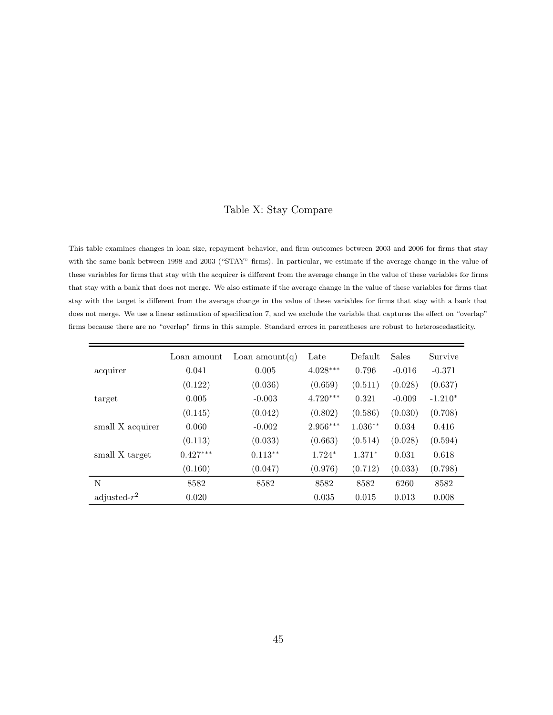### Table X: Stay Compare

This table examines changes in loan size, repayment behavior, and firm outcomes between 2003 and 2006 for firms that stay with the same bank between 1998 and 2003 ("STAY" firms). In particular, we estimate if the average change in the value of these variables for firms that stay with the acquirer is different from the average change in the value of these variables for firms that stay with a bank that does not merge. We also estimate if the average change in the value of these variables for firms that stay with the target is different from the average change in the value of these variables for firms that stay with a bank that does not merge. We use a linear estimation of specification 7, and we exclude the variable that captures the effect on "overlap" firms because there are no "overlap" firms in this sample. Standard errors in parentheses are robust to heteroscedasticity.

|                  | Loan amount | Loan amount $(q)$ | Late       | Default   | <b>Sales</b> | Survive   |
|------------------|-------------|-------------------|------------|-----------|--------------|-----------|
| acquirer         | 0.041       | 0.005             | $4.028***$ | 0.796     | $-0.016$     | $-0.371$  |
|                  | (0.122)     | (0.036)           | (0.659)    | (0.511)   | (0.028)      | (0.637)   |
| target           | 0.005       | $-0.003$          | $4.720***$ | 0.321     | $-0.009$     | $-1.210*$ |
|                  | (0.145)     | (0.042)           | (0.802)    | (0.586)   | (0.030)      | (0.708)   |
| small X acquirer | 0.060       | $-0.002$          | $2.956***$ | $1.036**$ | 0.034        | 0.416     |
|                  | (0.113)     | (0.033)           | (0.663)    | (0.514)   | (0.028)      | (0.594)   |
| small X target   | $0.427***$  | $0.113**$         | $1.724*$   | $1.371*$  | 0.031        | 0.618     |
|                  | (0.160)     | (0.047)           | (0.976)    | (0.712)   | (0.033)      | (0.798)   |
| N                | 8582        | 8582              | 8582       | 8582      | 6260         | 8582      |
| adjusted- $r^2$  | 0.020       |                   | 0.035      | 0.015     | 0.013        | 0.008     |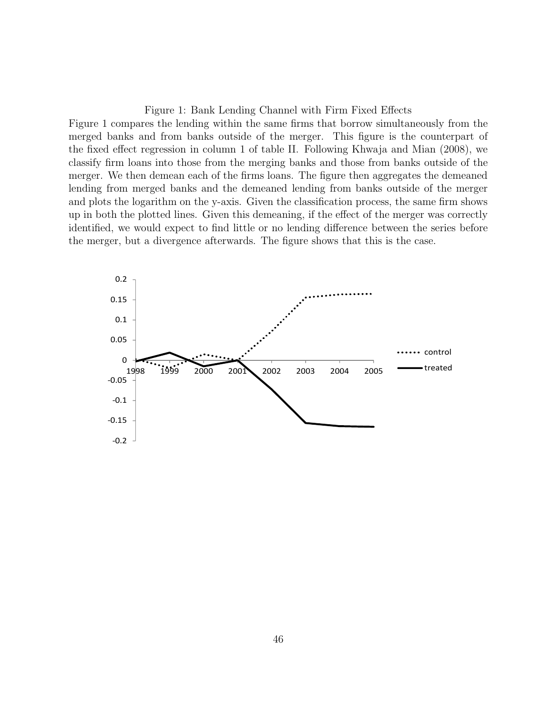#### Figure 1: Bank Lending Channel with Firm Fixed Effects

Figure 1 compares the lending within the same firms that borrow simultaneously from the merged banks and from banks outside of the merger. This figure is the counterpart of the fixed effect regression in column 1 of table II. Following Khwaja and Mian (2008), we classify firm loans into those from the merging banks and those from banks outside of the merger. We then demean each of the firms loans. The figure then aggregates the demeaned lending from merged banks and the demeaned lending from banks outside of the merger and plots the logarithm on the y-axis. Given the classification process, the same firm shows up in both the plotted lines. Given this demeaning, if the effect of the merger was correctly identified, we would expect to find little or no lending difference between the series before the merger, but a divergence afterwards. The figure shows that this is the case.

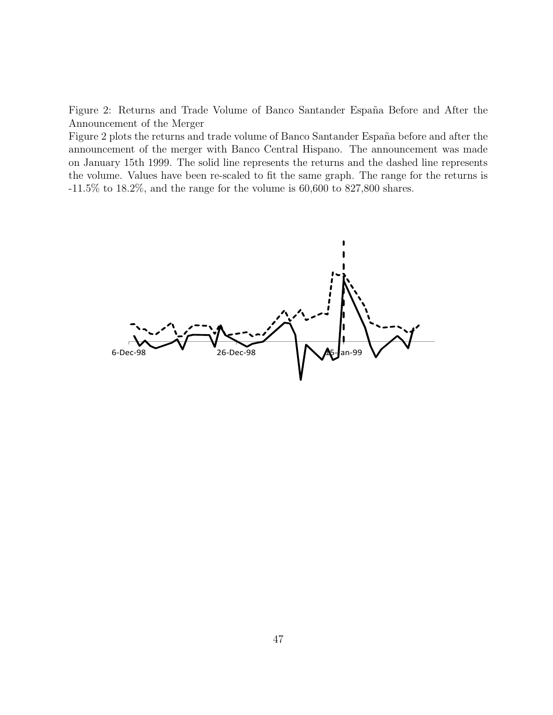Figure 2: Returns and Trade Volume of Banco Santander España Before and After the Announcement of the Merger

Figure 2 plots the returns and trade volume of Banco Santander España before and after the announcement of the merger with Banco Central Hispano. The announcement was made on January 15th 1999. The solid line represents the returns and the dashed line represents the volume. Values have been re-scaled to fit the same graph. The range for the returns is  $-11.5\%$  to  $18.2\%$ , and the range for the volume is 60,600 to 827,800 shares.